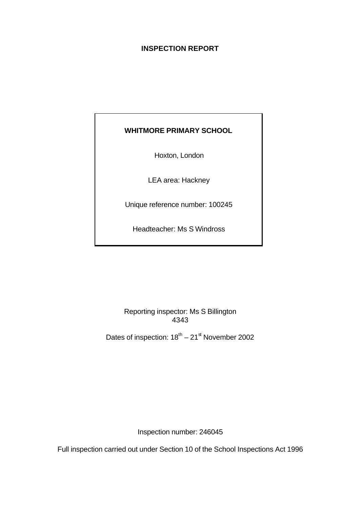# **INSPECTION REPORT**

# **WHITMORE PRIMARY SCHOOL**

Hoxton, London

LEA area: Hackney

Unique reference number: 100245

Headteacher: Ms S Windross

Reporting inspector: Ms S Billington 4343

Dates of inspection:  $18^{th} - 21^{st}$  November 2002

Inspection number: 246045

Full inspection carried out under Section 10 of the School Inspections Act 1996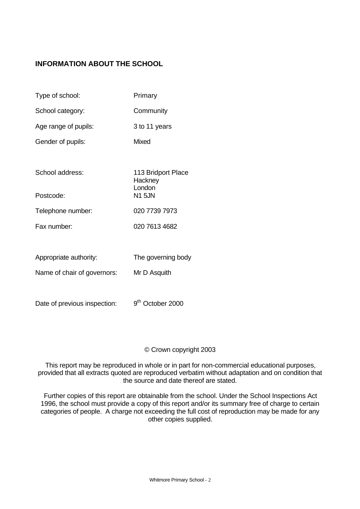# **INFORMATION ABOUT THE SCHOOL**

| Type of school:             | Primary                                 |
|-----------------------------|-----------------------------------------|
| School category:            | Community                               |
| Age range of pupils:        | 3 to 11 years                           |
| Gender of pupils:           | <b>Mixed</b>                            |
|                             |                                         |
| School address:             | 113 Bridport Place<br>Hackney<br>London |
| Postcode:                   | <b>N1 5JN</b>                           |
| Telephone number:           | 020 7739 7973                           |
| Fax number:                 | 020 7613 4682                           |
|                             |                                         |
| Appropriate authority:      | The governing body                      |
| Name of chair of governors: | Mr D Asquith                            |
|                             |                                         |

Date of previous inspection: 9<sup>th</sup> October 2000

## © Crown copyright 2003

This report may be reproduced in whole or in part for non-commercial educational purposes, provided that all extracts quoted are reproduced verbatim without adaptation and on condition that the source and date thereof are stated.

Further copies of this report are obtainable from the school. Under the School Inspections Act 1996, the school must provide a copy of this report and/or its summary free of charge to certain categories of people. A charge not exceeding the full cost of reproduction may be made for any other copies supplied.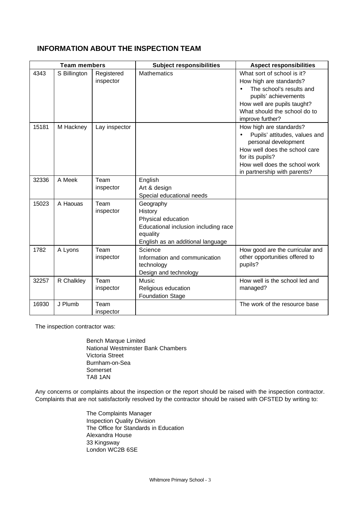# **INFORMATION ABOUT THE INSPECTION TEAM**

| <b>Team members</b> |              |                         | <b>Subject responsibilities</b>                                                                                                     | <b>Aspect responsibilities</b>                                                                                                                                                                        |
|---------------------|--------------|-------------------------|-------------------------------------------------------------------------------------------------------------------------------------|-------------------------------------------------------------------------------------------------------------------------------------------------------------------------------------------------------|
| 4343                | S Billington | Registered<br>inspector | <b>Mathematics</b>                                                                                                                  | What sort of school is it?<br>How high are standards?<br>The school's results and<br>pupils' achievements<br>How well are pupils taught?<br>What should the school do to<br>improve further?          |
| 15181               | M Hackney    | Lay inspector           |                                                                                                                                     | How high are standards?<br>Pupils' attitudes, values and<br>personal development<br>How well does the school care<br>for its pupils?<br>How well does the school work<br>in partnership with parents? |
| 32336               | A Meek       | Team<br>inspector       | English<br>Art & design<br>Special educational needs                                                                                |                                                                                                                                                                                                       |
| 15023               | A Haouas     | Team<br>inspector       | Geography<br>History<br>Physical education<br>Educational inclusion including race<br>equality<br>English as an additional language |                                                                                                                                                                                                       |
| 1782                | A Lyons      | Team<br>inspector       | Science<br>Information and communication<br>technology<br>Design and technology                                                     | How good are the curricular and<br>other opportunities offered to<br>pupils?                                                                                                                          |
| 32257               | R Chalkley   | Team<br>inspector       | <b>Music</b><br>Religious education<br><b>Foundation Stage</b>                                                                      | How well is the school led and<br>managed?                                                                                                                                                            |
| 16930               | J Plumb      | Team<br>inspector       |                                                                                                                                     | The work of the resource base                                                                                                                                                                         |

The inspection contractor was:

Bench Marque Limited National Westminster Bank Chambers Victoria Street Burnham-on-Sea Somerset TA8 1AN

Any concerns or complaints about the inspection or the report should be raised with the inspection contractor. Complaints that are not satisfactorily resolved by the contractor should be raised with OFSTED by writing to:

> The Complaints Manager Inspection Quality Division The Office for Standards in Education Alexandra House 33 Kingsway London WC2B 6SE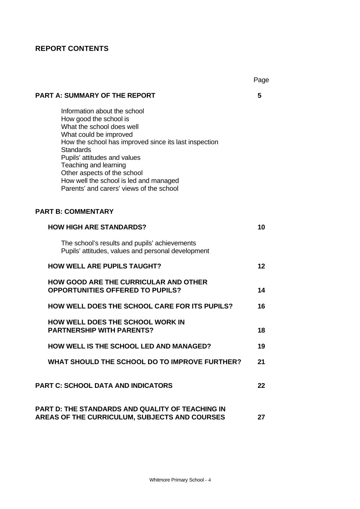# **REPORT CONTENTS**

|                                                                                                                                                                                                                                                                                                                                                                          | Page |
|--------------------------------------------------------------------------------------------------------------------------------------------------------------------------------------------------------------------------------------------------------------------------------------------------------------------------------------------------------------------------|------|
| <b>PART A: SUMMARY OF THE REPORT</b>                                                                                                                                                                                                                                                                                                                                     | 5    |
| Information about the school<br>How good the school is<br>What the school does well<br>What could be improved<br>How the school has improved since its last inspection<br><b>Standards</b><br>Pupils' attitudes and values<br>Teaching and learning<br>Other aspects of the school<br>How well the school is led and managed<br>Parents' and carers' views of the school |      |
| <b>PART B: COMMENTARY</b>                                                                                                                                                                                                                                                                                                                                                |      |
| <b>HOW HIGH ARE STANDARDS?</b>                                                                                                                                                                                                                                                                                                                                           | 10   |
| The school's results and pupils' achievements<br>Pupils' attitudes, values and personal development                                                                                                                                                                                                                                                                      |      |
| <b>HOW WELL ARE PUPILS TAUGHT?</b>                                                                                                                                                                                                                                                                                                                                       | 12   |
| <b>HOW GOOD ARE THE CURRICULAR AND OTHER</b><br><b>OPPORTUNITIES OFFERED TO PUPILS?</b>                                                                                                                                                                                                                                                                                  | 14   |
| <b>HOW WELL DOES THE SCHOOL CARE FOR ITS PUPILS?</b>                                                                                                                                                                                                                                                                                                                     | 16   |
| <b>HOW WELL DOES THE SCHOOL WORK IN</b><br><b>PARTNERSHIP WITH PARENTS?</b>                                                                                                                                                                                                                                                                                              | 18   |
| <b>HOW WELL IS THE SCHOOL LED AND MANAGED?</b>                                                                                                                                                                                                                                                                                                                           | 19   |
| WHAT SHOULD THE SCHOOL DO TO IMPROVE FURTHER?                                                                                                                                                                                                                                                                                                                            | 21   |
| <b>PART C: SCHOOL DATA AND INDICATORS</b>                                                                                                                                                                                                                                                                                                                                | 22   |
| <b>PART D: THE STANDARDS AND QUALITY OF TEACHING IN</b><br>AREAS OF THE CURRICULUM, SUBJECTS AND COURSES                                                                                                                                                                                                                                                                 | 27   |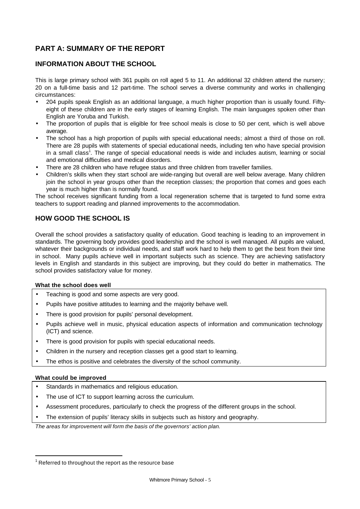# **PART A: SUMMARY OF THE REPORT**

# **INFORMATION ABOUT THE SCHOOL**

This is large primary school with 361 pupils on roll aged 5 to 11. An additional 32 children attend the nursery; 20 on a full-time basis and 12 part-time. The school serves a diverse community and works in challenging circumstances:

- 204 pupils speak English as an additional language, a much higher proportion than is usually found. Fiftyeight of these children are in the early stages of learning English. The main languages spoken other than English are Yoruba and Turkish.
- The proportion of pupils that is eligible for free school meals is close to 50 per cent, which is well above average.
- The school has a high proportion of pupils with special educational needs; almost a third of those on roll. There are 28 pupils with statements of special educational needs, including ten who have special provision in a small class<sup>1</sup>. The range of special educational needs is wide and includes autism, learning or social and emotional difficulties and medical disorders.
- There are 28 children who have refugee status and three children from traveller families.
- Children's skills when they start school are wide-ranging but overall are well below average. Many children join the school in year groups other than the reception classes; the proportion that comes and goes each year is much higher than is normally found.

The school receives significant funding from a local regeneration scheme that is targeted to fund some extra teachers to support reading and planned improvements to the accommodation.

# **HOW GOOD THE SCHOOL IS**

Overall the school provides a satisfactory quality of education. Good teaching is leading to an improvement in standards. The governing body provides good leadership and the school is well managed. All pupils are valued, whatever their backgrounds or individual needs, and staff work hard to help them to get the best from their time in school. Many pupils achieve well in important subjects such as science. They are achieving satisfactory levels in English and standards in this subject are improving, but they could do better in mathematics. The school provides satisfactory value for money.

#### **What the school does well**

- Teaching is good and some aspects are very good.
- Pupils have positive attitudes to learning and the majority behave well.
- There is good provision for pupils' personal development.
- Pupils achieve well in music, physical education aspects of information and communication technology (ICT) and science.
- There is good provision for pupils with special educational needs.
- Children in the nursery and reception classes get a good start to learning.
- The ethos is positive and celebrates the diversity of the school community.

#### **What could be improved**

l

- Standards in mathematics and religious education.
- The use of ICT to support learning across the curriculum.
- Assessment procedures, particularly to check the progress of the different groups in the school.
- The extension of pupils' literacy skills in subjects such as history and geography.

*The areas for improvement will form the basis of the governors' action plan.*

 $1$  Referred to throughout the report as the resource base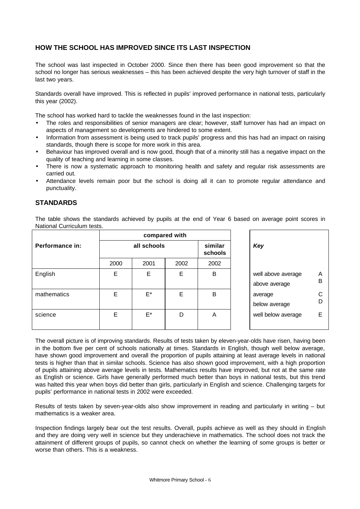# **HOW THE SCHOOL HAS IMPROVED SINCE ITS LAST INSPECTION**

The school was last inspected in October 2000. Since then there has been good improvement so that the school no longer has serious weaknesses – this has been achieved despite the very high turnover of staff in the last two years.

Standards overall have improved. This is reflected in pupils' improved performance in national tests, particularly this year (2002).

The school has worked hard to tackle the weaknesses found in the last inspection:

- The roles and responsibilities of senior managers are clear; however, staff turnover has had an impact on aspects of management so developments are hindered to some extent.
- Information from assessment is being used to track pupils' progress and this has had an impact on raising standards, though there is scope for more work in this area.
- Behaviour has improved overall and is now good, though that of a minority still has a negative impact on the quality of teaching and learning in some classes.
- There is now a systematic approach to monitoring health and safety and regular risk assessments are carried out.
- Attendance levels remain poor but the school is doing all it can to promote regular attendance and punctuality.

## **STANDARDS**

The table shows the standards achieved by pupils at the end of Year 6 based on average point scores in National Curriculum tests.

|                 |      |             | compared with |                           |  |                                     |                  |
|-----------------|------|-------------|---------------|---------------------------|--|-------------------------------------|------------------|
| Performance in: |      | all schools |               | similar<br>Key<br>schools |  |                                     |                  |
|                 | 2000 | 2001        | 2002          | 2002                      |  |                                     |                  |
| English         | E    | E           | E             | B                         |  | well above average<br>above average | A<br>B           |
| mathematics     | E    | $E^*$       | E             | B                         |  | average<br>below average            | $\mathsf C$<br>D |
| science         | Ε    | $E^*$       | D             | A                         |  | well below average                  | Ε                |

The overall picture is of improving standards. Results of tests taken by eleven-year-olds have risen, having been in the bottom five per cent of schools nationally at times. Standards in English, though well below average, have shown good improvement and overall the proportion of pupils attaining at least average levels in national tests is higher than that in similar schools. Science has also shown good improvement, with a high proportion of pupils attaining above average levels in tests. Mathematics results have improved, but not at the same rate as English or science. Girls have generally performed much better than boys in national tests, but this trend was halted this year when boys did better than girls, particularly in English and science. Challenging targets for pupils' performance in national tests in 2002 were exceeded.

Results of tests taken by seven-year-olds also show improvement in reading and particularly in writing – but mathematics is a weaker area.

Inspection findings largely bear out the test results. Overall, pupils achieve as well as they should in English and they are doing very well in science but they underachieve in mathematics. The school does not track the attainment of different groups of pupils, so cannot check on whether the learning of some groups is better or worse than others. This is a weakness.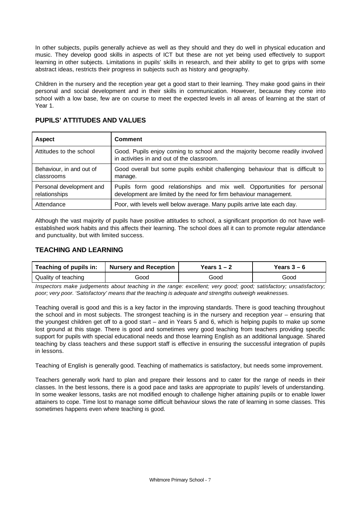In other subjects, pupils generally achieve as well as they should and they do well in physical education and music. They develop good skills in aspects of ICT but these are not yet being used effectively to support learning in other subjects. Limitations in pupils' skills in research, and their ability to get to grips with some abstract ideas, restricts their progress in subjects such as history and geography.

Children in the nursery and the reception year get a good start to their learning. They make good gains in their personal and social development and in their skills in communication. However, because they come into school with a low base, few are on course to meet the expected levels in all areas of learning at the start of Year 1.

| <b>Aspect</b>                             | <b>Comment</b>                                                                                                                                |
|-------------------------------------------|-----------------------------------------------------------------------------------------------------------------------------------------------|
| Attitudes to the school                   | Good. Pupils enjoy coming to school and the majority become readily involved<br>in activities in and out of the classroom.                    |
| Behaviour, in and out of<br>classrooms    | Good overall but some pupils exhibit challenging behaviour that is difficult to<br>manage.                                                    |
| Personal development and<br>relationships | Pupils form good relationships and mix well. Opportunities for personal<br>development are limited by the need for firm behaviour management. |
| Attendance                                | Poor, with levels well below average. Many pupils arrive late each day.                                                                       |

# **PUPILS' ATTITUDES AND VALUES**

Although the vast majority of pupils have positive attitudes to school, a significant proportion do not have wellestablished work habits and this affects their learning. The school does all it can to promote regular attendance and punctuality, but with limited success.

## **TEACHING AND LEARNING**

| Teaching of pupils in: | Nursery and Reception | Years 1 – 2 | Years $3-6$ |
|------------------------|-----------------------|-------------|-------------|
| Quality of teaching    | Good                  | Good        | Good        |

*Inspectors make judgements about teaching in the range: excellent; very good; good; satisfactory; unsatisfactory; poor; very poor. 'Satisfactory' means that the teaching is adequate and strengths outweigh weaknesses.*

Teaching overall is good and this is a key factor in the improving standards. There is good teaching throughout the school and in most subjects. The strongest teaching is in the nursery and reception year – ensuring that the youngest children get off to a good start – and in Years 5 and 6, which is helping pupils to make up some lost ground at this stage. There is good and sometimes very good teaching from teachers providing specific support for pupils with special educational needs and those learning English as an additional language. Shared teaching by class teachers and these support staff is effective in ensuring the successful integration of pupils in lessons.

Teaching of English is generally good. Teaching of mathematics is satisfactory, but needs some improvement.

Teachers generally work hard to plan and prepare their lessons and to cater for the range of needs in their classes. In the best lessons, there is a good pace and tasks are appropriate to pupils' levels of understanding. In some weaker lessons, tasks are not modified enough to challenge higher attaining pupils or to enable lower attainers to cope. Time lost to manage some difficult behaviour slows the rate of learning in some classes. This sometimes happens even where teaching is good.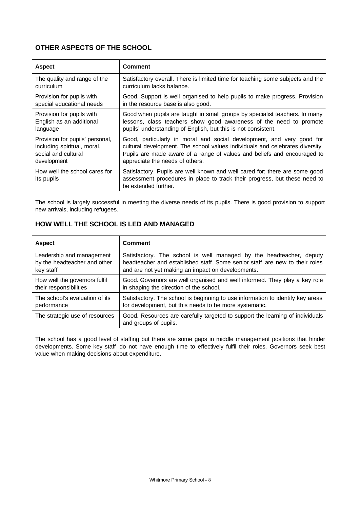# **OTHER ASPECTS OF THE SCHOOL**

| <b>Aspect</b>                               | Comment                                                                                                                                                                          |
|---------------------------------------------|----------------------------------------------------------------------------------------------------------------------------------------------------------------------------------|
| The quality and range of the                | Satisfactory overall. There is limited time for teaching some subjects and the                                                                                                   |
| curriculum                                  | curriculum lacks balance.                                                                                                                                                        |
| Provision for pupils with                   | Good. Support is well organised to help pupils to make progress. Provision                                                                                                       |
| special educational needs                   | in the resource base is also good.                                                                                                                                               |
| Provision for pupils with                   | Good when pupils are taught in small groups by specialist teachers. In many                                                                                                      |
| English as an additional                    | lessons, class teachers show good awareness of the need to promote                                                                                                               |
| language                                    | pupils' understanding of English, but this is not consistent.                                                                                                                    |
| Provision for pupils' personal,             | Good, particularly in moral and social development, and very good for                                                                                                            |
| including spiritual, moral,                 | cultural development. The school values individuals and celebrates diversity.                                                                                                    |
| social and cultural                         | Pupils are made aware of a range of values and beliefs and encouraged to                                                                                                         |
| development                                 | appreciate the needs of others.                                                                                                                                                  |
| How well the school cares for<br>its pupils | Satisfactory. Pupils are well known and well cared for; there are some good<br>assessment procedures in place to track their progress, but these need to<br>be extended further. |

The school is largely successful in meeting the diverse needs of its pupils. There is good provision to support new arrivals, including refugees.

# **HOW WELL THE SCHOOL IS LED AND MANAGED**

| <b>Aspect</b>                  | <b>Comment</b>                                                                                         |
|--------------------------------|--------------------------------------------------------------------------------------------------------|
| Leadership and management      | Satisfactory. The school is well managed by the headteacher, deputy                                    |
| by the headteacher and other   | headteacher and established staff. Some senior staff are new to their roles                            |
| key staff                      | and are not yet making an impact on developments.                                                      |
| How well the governors fulfil  | Good. Governors are well organised and well informed. They play a key role                             |
| their responsibilities         | in shaping the direction of the school.                                                                |
| The school's evaluation of its | Satisfactory. The school is beginning to use information to identify key areas                         |
| performance                    | for development, but this needs to be more systematic.                                                 |
| The strategic use of resources | Good. Resources are carefully targeted to support the learning of individuals<br>and groups of pupils. |

The school has a good level of staffing but there are some gaps in middle management positions that hinder developments. Some key staff do not have enough time to effectively fulfil their roles. Governors seek best value when making decisions about expenditure.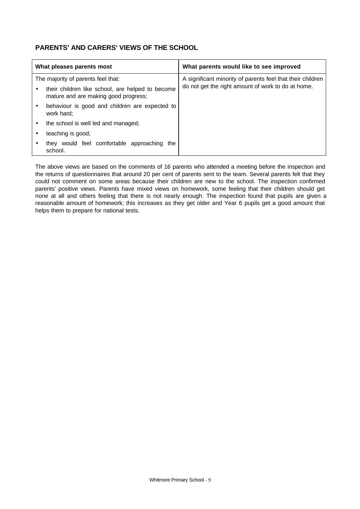# **PARENTS' AND CARERS' VIEWS OF THE SCHOOL**

|                                    | What pleases parents most                                                                | What parents would like to see improved                    |
|------------------------------------|------------------------------------------------------------------------------------------|------------------------------------------------------------|
| The majority of parents feel that: |                                                                                          | A significant minority of parents feel that their children |
|                                    | their children like school, are helped to become<br>mature and are making good progress; | do not get the right amount of work to do at home.         |
|                                    | behaviour is good and children are expected to<br>work hard;                             |                                                            |
|                                    | the school is well led and managed;                                                      |                                                            |
|                                    | teaching is good;                                                                        |                                                            |
|                                    | they would feel comfortable approaching<br>the<br>school.                                |                                                            |

The above views are based on the comments of 16 parents who attended a meeting before the inspection and the returns of questionnaires that around 20 per cent of parents sent to the team. Several parents felt that they could not comment on some areas because their children are new to the school. The inspection confirmed parents' positive views. Parents have mixed views on homework, some feeling that their children should get none at all and others feeling that there is not nearly enough. The inspection found that pupils are given a reasonable amount of homework; this increases as they get older and Year 6 pupils get a good amount that helps them to prepare for national tests.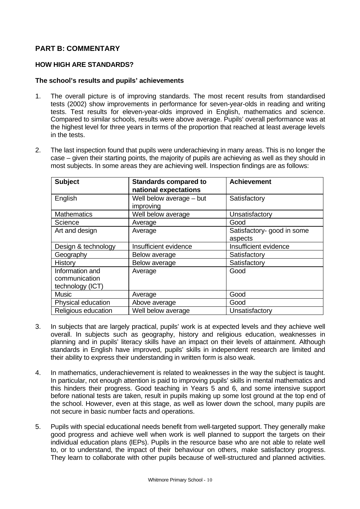# **PART B: COMMENTARY**

## **HOW HIGH ARE STANDARDS?**

### **The school's results and pupils' achievements**

- 1. The overall picture is of improving standards. The most recent results from standardised tests (2002) show improvements in performance for seven-year-olds in reading and writing tests. Test results for eleven-year-olds improved in English, mathematics and science. Compared to similar schools, results were above average. Pupils' overall performance was at the highest level for three years in terms of the proportion that reached at least average levels in the tests.
- 2. The last inspection found that pupils were underachieving in many areas. This is no longer the case – given their starting points, the majority of pupils are achieving as well as they should in most subjects. In some areas they are achieving well. Inspection findings are as follows:

| <b>Subject</b>                                       | <b>Standards compared to</b><br>national expectations | <b>Achievement</b>                    |
|------------------------------------------------------|-------------------------------------------------------|---------------------------------------|
| English                                              | Well below average - but<br>improving                 | Satisfactory                          |
| <b>Mathematics</b>                                   | Well below average                                    | Unsatisfactory                        |
| Science                                              | Average                                               | Good                                  |
| Art and design                                       | Average                                               | Satisfactory- good in some<br>aspects |
| Design & technology                                  | <b>Insufficient evidence</b>                          | Insufficient evidence                 |
| Geography                                            | Below average                                         | Satisfactory                          |
| History                                              | Below average                                         | Satisfactory                          |
| Information and<br>communication<br>technology (ICT) | Average                                               | Good                                  |
| <b>Music</b>                                         | Average                                               | Good                                  |
| Physical education                                   | Above average                                         | Good                                  |
| Religious education                                  | Well below average                                    | Unsatisfactory                        |

- 3. In subjects that are largely practical, pupils' work is at expected levels and they achieve well overall. In subjects such as geography, history and religious education, weaknesses in planning and in pupils' literacy skills have an impact on their levels of attainment. Although standards in English have improved, pupils' skills in independent research are limited and their ability to express their understanding in written form is also weak.
- 4. In mathematics, underachievement is related to weaknesses in the way the subject is taught. In particular, not enough attention is paid to improving pupils' skills in mental mathematics and this hinders their progress. Good teaching in Years 5 and 6, and some intensive support before national tests are taken, result in pupils making up some lost ground at the top end of the school. However, even at this stage, as well as lower down the school, many pupils are not secure in basic number facts and operations.
- 5. Pupils with special educational needs benefit from well-targeted support. They generally make good progress and achieve well when work is well planned to support the targets on their individual education plans (IEPs). Pupils in the resource base who are not able to relate well to, or to understand, the impact of their behaviour on others, make satisfactory progress. They learn to collaborate with other pupils because of well-structured and planned activities.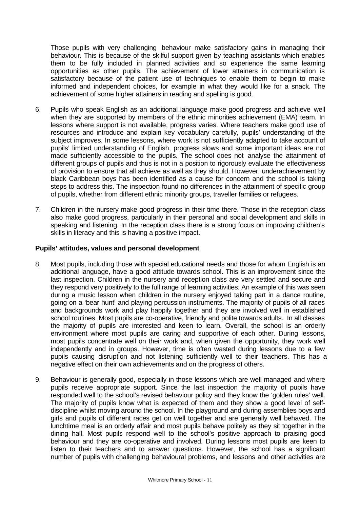Those pupils with very challenging behaviour make satisfactory gains in managing their behaviour. This is because of the skilful support given by teaching assistants which enables them to be fully included in planned activities and so experience the same learning opportunities as other pupils. The achievement of lower attainers in communication is satisfactory because of the patient use of techniques to enable them to begin to make informed and independent choices, for example in what they would like for a snack. The achievement of some higher attainers in reading and spelling is good.

- 6. Pupils who speak English as an additional language make good progress and achieve well when they are supported by members of the ethnic minorities achievement (EMA) team. In lessons where support is not available, progress varies. Where teachers make good use of resources and introduce and explain key vocabulary carefully, pupils' understanding of the subject improves. In some lessons, where work is not sufficiently adapted to take account of pupils' limited understanding of English, progress slows and some important ideas are not made sufficiently accessible to the pupils. The school does not analyse the attainment of different groups of pupils and thus is not in a position to rigorously evaluate the effectiveness of provision to ensure that all achieve as well as they should. However, underachievement by black Caribbean boys has been identified as a cause for concern and the school is taking steps to address this. The inspection found no differences in the attainment of specific group of pupils, whether from different ethnic minority groups, traveller families or refugees.
- 7. Children in the nursery make good progress in their time there. Those in the reception class also make good progress, particularly in their personal and social development and skills in speaking and listening. In the reception class there is a strong focus on improving children's skills in literacy and this is having a positive impact.

## **Pupils' attitudes, values and personal development**

- 8. Most pupils, including those with special educational needs and those for whom English is an additional language, have a good attitude towards school. This is an improvement since the last inspection. Children in the nursery and reception class are very settled and secure and they respond very positively to the full range of learning activities. An example of this was seen during a music lesson when children in the nursery enjoyed taking part in a dance routine, going on a 'bear hunt' and playing percussion instruments. The majority of pupils of all races and backgrounds work and play happily together and they are involved well in established school routines. Most pupils are co-operative, friendly and polite towards adults. In all classes the majority of pupils are interested and keen to learn. Overall, the school is an orderly environment where most pupils are caring and supportive of each other. During lessons, most pupils concentrate well on their work and, when given the opportunity, they work well independently and in groups. However, time is often wasted during lessons due to a few pupils causing disruption and not listening sufficiently well to their teachers. This has a negative effect on their own achievements and on the progress of others.
- 9. Behaviour is generally good, especially in those lessons which are well managed and where pupils receive appropriate support. Since the last inspection the majority of pupils have responded well to the school's revised behaviour policy and they know the 'golden rules' well. The majority of pupils know what is expected of them and they show a good level of selfdiscipline whilst moving around the school. In the playground and during assemblies boys and girls and pupils of different races get on well together and are generally well behaved. The lunchtime meal is an orderly affair and most pupils behave politely as they sit together in the dining hall. Most pupils respond well to the school's positive approach to praising good behaviour and they are co-operative and involved. During lessons most pupils are keen to listen to their teachers and to answer questions. However, the school has a significant number of pupils with challenging behavioural problems, and lessons and other activities are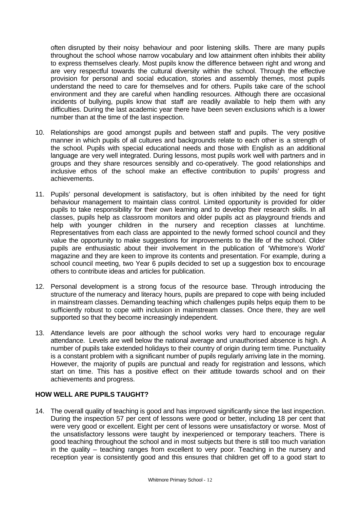often disrupted by their noisy behaviour and poor listening skills. There are many pupils throughout the school whose narrow vocabulary and low attainment often inhibits their ability to express themselves clearly. Most pupils know the difference between right and wrong and are very respectful towards the cultural diversity within the school. Through the effective provision for personal and social education, stories and assembly themes, most pupils understand the need to care for themselves and for others. Pupils take care of the school environment and they are careful when handling resources. Although there are occasional incidents of bullying, pupils know that staff are readily available to help them with any difficulties. During the last academic year there have been seven exclusions which is a lower number than at the time of the last inspection.

- 10. Relationships are good amongst pupils and between staff and pupils. The very positive manner in which pupils of all cultures and backgrounds relate to each other is a strength of the school. Pupils with special educational needs and those with English as an additional language are very well integrated. During lessons, most pupils work well with partners and in groups and they share resources sensibly and co-operatively. The good relationships and inclusive ethos of the school make an effective contribution to pupils' progress and achievements.
- 11. Pupils' personal development is satisfactory, but is often inhibited by the need for tight behaviour management to maintain class control. Limited opportunity is provided for older pupils to take responsibility for their own learning and to develop their research skills. In all classes, pupils help as classroom monitors and older pupils act as playground friends and help with younger children in the nursery and reception classes at lunchtime. Representatives from each class are appointed to the newly formed school council and they value the opportunity to make suggestions for improvements to the life of the school. Older pupils are enthusiastic about their involvement in the publication of 'Whitmore's World' magazine and they are keen to improve its contents and presentation. For example, during a school council meeting, two Year 6 pupils decided to set up a suggestion box to encourage others to contribute ideas and articles for publication.
- 12. Personal development is a strong focus of the resource base. Through introducing the structure of the numeracy and literacy hours, pupils are prepared to cope with being included in mainstream classes. Demanding teaching which challenges pupils helps equip them to be sufficiently robust to cope with inclusion in mainstream classes. Once there, they are well supported so that they become increasingly independent.
- 13. Attendance levels are poor although the school works very hard to encourage regular attendance. Levels are well below the national average and unauthorised absence is high. A number of pupils take extended holidays to their country of origin during term time. Punctuality is a constant problem with a significant number of pupils regularly arriving late in the morning. However, the majority of pupils are punctual and ready for registration and lessons, which start on time. This has a positive effect on their attitude towards school and on their achievements and progress.

# **HOW WELL ARE PUPILS TAUGHT?**

14. The overall quality of teaching is good and has improved significantly since the last inspection. During the inspection 57 per cent of lessons were good or better, including 18 per cent that were very good or excellent. Eight per cent of lessons were unsatisfactory or worse. Most of the unsatisfactory lessons were taught by inexperienced or temporary teachers. There is good teaching throughout the school and in most subjects but there is still too much variation in the quality – teaching ranges from excellent to very poor. Teaching in the nursery and reception year is consistently good and this ensures that children get off to a good start to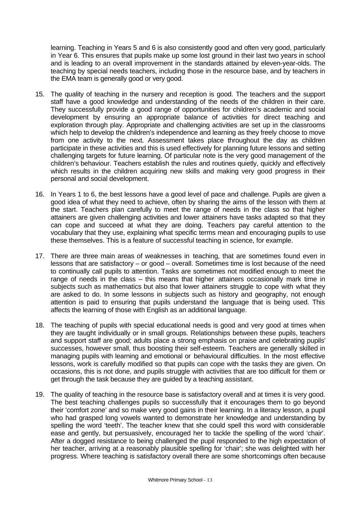learning. Teaching in Years 5 and 6 is also consistently good and often very good, particularly in Year 6. This ensures that pupils make up some lost ground in their last two years in school and is leading to an overall improvement in the standards attained by eleven-year-olds. The teaching by special needs teachers, including those in the resource base, and by teachers in the EMA team is generally good or very good.

- 15. The quality of teaching in the nursery and reception is good. The teachers and the support staff have a good knowledge and understanding of the needs of the children in their care. They successfully provide a good range of opportunities for children's academic and social development by ensuring an appropriate balance of activities for direct teaching and exploration through play. Appropriate and challenging activities are set up in the classrooms which help to develop the children's independence and learning as they freely choose to move from one activity to the next. Assessment takes place throughout the day as children participate in these activities and this is used effectively for planning future lessons and setting challenging targets for future learning. Of particular note is the very good management of the children's behaviour. Teachers establish the rules and routines quietly, quickly and effectively which results in the children acquiring new skills and making very good progress in their personal and social development.
- 16. In Years 1 to 6, the best lessons have a good level of pace and challenge. Pupils are given a good idea of what they need to achieve, often by sharing the aims of the lesson with them at the start. Teachers plan carefully to meet the range of needs in the class so that higher attainers are given challenging activities and lower attainers have tasks adapted so that they can cope and succeed at what they are doing. Teachers pay careful attention to the vocabulary that they use, explaining what specific terms mean and encouraging pupils to use these themselves. This is a feature of successful teaching in science, for example.
- 17. There are three main areas of weaknesses in teaching, that are sometimes found even in lessons that are satisfactory – or good – overall. Sometimes time is lost because of the need to continually call pupils to attention. Tasks are sometimes not modified enough to meet the range of needs in the class – this means that higher attainers occasionally mark time in subjects such as mathematics but also that lower attainers struggle to cope with what they are asked to do. In some lessons in subjects such as history and geography, not enough attention is paid to ensuring that pupils understand the language that is being used. This affects the learning of those with English as an additional language.
- 18. The teaching of pupils with special educational needs is good and very good at times when they are taught individually or in small groups. Relationships between these pupils, teachers and support staff are good; adults place a strong emphasis on praise and celebrating pupils' successes, however small, thus boosting their self-esteem. Teachers are generally skilled in managing pupils with learning and emotional or behavioural difficulties. In the most effective lessons, work is carefully modified so that pupils can cope with the tasks they are given. On occasions, this is not done, and pupils struggle with activities that are too difficult for them or get through the task because they are guided by a teaching assistant.
- 19. The quality of teaching in the resource base is satisfactory overall and at times it is very good. The best teaching challenges pupils so successfully that it encourages them to go beyond their 'comfort zone' and so make very good gains in their learning. In a literacy lesson, a pupil who had grasped long vowels wanted to demonstrate her knowledge and understanding by spelling the word 'teeth'. The teacher knew that she could spell this word with considerable ease and gently, but persuasively, encouraged her to tackle the spelling of the word 'chair'. After a dogged resistance to being challenged the pupil responded to the high expectation of her teacher, arriving at a reasonably plausible spelling for 'chair'; she was delighted with her progress. Where teaching is satisfactory overall there are some shortcomings often because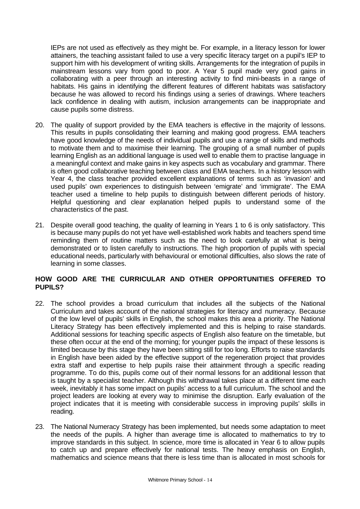IEPs are not used as effectively as they might be. For example, in a literacy lesson for lower attainers, the teaching assistant failed to use a very specific literacy target on a pupil's IEP to support him with his development of writing skills. Arrangements for the integration of pupils in mainstream lessons vary from good to poor. A Year 5 pupil made very good gains in collaborating with a peer through an interesting activity to find mini-beasts in a range of habitats. His gains in identifying the different features of different habitats was satisfactory because he was allowed to record his findings using a series of drawings. Where teachers lack confidence in dealing with autism, inclusion arrangements can be inappropriate and cause pupils some distress.

- 20. The quality of support provided by the EMA teachers is effective in the majority of lessons. This results in pupils consolidating their learning and making good progress. EMA teachers have good knowledge of the needs of individual pupils and use a range of skills and methods to motivate them and to maximise their learning. The grouping of a small number of pupils learning English as an additional language is used well to enable them to practise language in a meaningful context and make gains in key aspects such as vocabulary and grammar. There is often good collaborative teaching between class and EMA teachers. In a history lesson with Year 4, the class teacher provided excellent explanations of terms such as 'invasion' and used pupils' own experiences to distinguish between 'emigrate' and 'immigrate'. The EMA teacher used a timeline to help pupils to distinguish between different periods of history. Helpful questioning and clear explanation helped pupils to understand some of the characteristics of the past.
- 21. Despite overall good teaching, the quality of learning in Years 1 to 6 is only satisfactory. This is because many pupils do not yet have well-established work habits and teachers spend time reminding them of routine matters such as the need to look carefully at what is being demonstrated or to listen carefully to instructions. The high proportion of pupils with special educational needs, particularly with behavioural or emotional difficulties, also slows the rate of learning in some classes.

## **HOW GOOD ARE THE CURRICULAR AND OTHER OPPORTUNITIES OFFERED TO PUPILS?**

- 22. The school provides a broad curriculum that includes all the subjects of the National Curriculum and takes account of the national strategies for literacy and numeracy. Because of the low level of pupils' skills in English, the school makes this area a priority. The National Literacy Strategy has been effectively implemented and this is helping to raise standards. Additional sessions for teaching specific aspects of English also feature on the timetable, but these often occur at the end of the morning; for younger pupils the impact of these lessons is limited because by this stage they have been sitting still for too long. Efforts to raise standards in English have been aided by the effective support of the regeneration project that provides extra staff and expertise to help pupils raise their attainment through a specific reading programme. To do this, pupils come out of their normal lessons for an additional lesson that is taught by a specialist teacher. Although this withdrawal takes place at a different time each week, inevitably it has some impact on pupils' access to a full curriculum. The school and the project leaders are looking at every way to minimise the disruption. Early evaluation of the project indicates that it is meeting with considerable success in improving pupils' skills in reading.
- 23. The National Numeracy Strategy has been implemented, but needs some adaptation to meet the needs of the pupils. A higher than average time is allocated to mathematics to try to improve standards in this subject. In science, more time is allocated in Year 6 to allow pupils to catch up and prepare effectively for national tests. The heavy emphasis on English, mathematics and science means that there is less time than is allocated in most schools for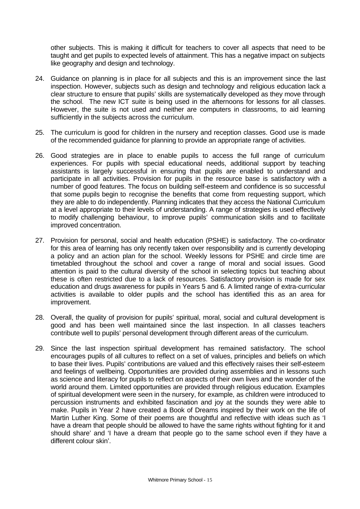other subjects. This is making it difficult for teachers to cover all aspects that need to be taught and get pupils to expected levels of attainment. This has a negative impact on subjects like geography and design and technology.

- 24. Guidance on planning is in place for all subjects and this is an improvement since the last inspection. However, subjects such as design and technology and religious education lack a clear structure to ensure that pupils' skills are systematically developed as they move through the school. The new ICT suite is being used in the afternoons for lessons for all classes. However, the suite is not used and neither are computers in classrooms, to aid learning sufficiently in the subjects across the curriculum.
- 25. The curriculum is good for children in the nursery and reception classes. Good use is made of the recommended guidance for planning to provide an appropriate range of activities.
- 26. Good strategies are in place to enable pupils to access the full range of curriculum experiences. For pupils with special educational needs, additional support by teaching assistants is largely successful in ensuring that pupils are enabled to understand and participate in all activities. Provision for pupils in the resource base is satisfactory with a number of good features. The focus on building self-esteem and confidence is so successful that some pupils begin to recognise the benefits that come from requesting support, which they are able to do independently. Planning indicates that they access the National Curriculum at a level appropriate to their levels of understanding. A range of strategies is used effectively to modify challenging behaviour, to improve pupils' communication skills and to facilitate improved concentration.
- 27. Provision for personal, social and health education (PSHE) is satisfactory. The co-ordinator for this area of learning has only recently taken over responsibility and is currently developing a policy and an action plan for the school. Weekly lessons for PSHE and circle time are timetabled throughout the school and cover a range of moral and social issues. Good attention is paid to the cultural diversity of the school in selecting topics but teaching about these is often restricted due to a lack of resources. Satisfactory provision is made for sex education and drugs awareness for pupils in Years 5 and 6. A limited range of extra-curricular activities is available to older pupils and the school has identified this as an area for improvement.
- 28. Overall, the quality of provision for pupils' spiritual, moral, social and cultural development is good and has been well maintained since the last inspection. In all classes teachers contribute well to pupils' personal development through different areas of the curriculum.
- 29. Since the last inspection spiritual development has remained satisfactory. The school encourages pupils of all cultures to reflect on a set of values, principles and beliefs on which to base their lives. Pupils' contributions are valued and this effectively raises their self-esteem and feelings of wellbeing. Opportunities are provided during assemblies and in lessons such as science and literacy for pupils to reflect on aspects of their own lives and the wonder of the world around them. Limited opportunities are provided through religious education. Examples of spiritual development were seen in the nursery, for example, as children were introduced to percussion instruments and exhibited fascination and joy at the sounds they were able to make. Pupils in Year 2 have created a Book of Dreams inspired by their work on the life of Martin Luther King. Some of their poems are thoughtful and reflective with ideas such as 'I have a dream that people should be allowed to have the same rights without fighting for it and should share' and 'I have a dream that people go to the same school even if they have a different colour skin'.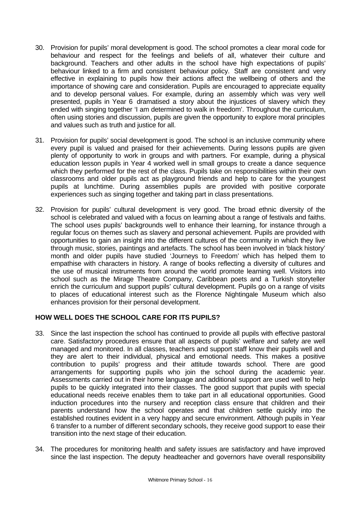- 30. Provision for pupils' moral development is good. The school promotes a clear moral code for behaviour and respect for the feelings and beliefs of all, whatever their culture and background. Teachers and other adults in the school have high expectations of pupils' behaviour linked to a firm and consistent behaviour policy. Staff are consistent and very effective in explaining to pupils how their actions affect the wellbeing of others and the importance of showing care and consideration. Pupils are encouraged to appreciate equality and to develop personal values. For example, during an assembly which was very well presented, pupils in Year 6 dramatised a story about the injustices of slavery which they ended with singing together 'I am determined to walk in freedom'. Throughout the curriculum, often using stories and discussion, pupils are given the opportunity to explore moral principles and values such as truth and justice for all.
- 31. Provision for pupils' social development is good. The school is an inclusive community where every pupil is valued and praised for their achievements. During lessons pupils are given plenty of opportunity to work in groups and with partners. For example, during a physical education lesson pupils in Year 4 worked well in small groups to create a dance sequence which they performed for the rest of the class. Pupils take on responsibilities within their own classrooms and older pupils act as playground friends and help to care for the youngest pupils at lunchtime. During assemblies pupils are provided with positive corporate experiences such as singing together and taking part in class presentations.
- 32. Provision for pupils' cultural development is very good. The broad ethnic diversity of the school is celebrated and valued with a focus on learning about a range of festivals and faiths. The school uses pupils' backgrounds well to enhance their learning, for instance through a regular focus on themes such as slavery and personal achievement. Pupils are provided with opportunities to gain an insight into the different cultures of the community in which they live through music, stories, paintings and artefacts. The school has been involved in 'black history' month and older pupils have studied 'Journeys to Freedom' which has helped them to empathise with characters in history. A range of books reflecting a diversity of cultures and the use of musical instruments from around the world promote learning well. Visitors into school such as the Mirage Theatre Company, Caribbean poets and a Turkish storyteller enrich the curriculum and support pupils' cultural development. Pupils go on a range of visits to places of educational interest such as the Florence Nightingale Museum which also enhances provision for their personal development.

# **HOW WELL DOES THE SCHOOL CARE FOR ITS PUPILS?**

- 33. Since the last inspection the school has continued to provide all pupils with effective pastoral care. Satisfactory procedures ensure that all aspects of pupils' welfare and safety are well managed and monitored. In all classes, teachers and support staff know their pupils well and they are alert to their individual, physical and emotional needs. This makes a positive contribution to pupils' progress and their attitude towards school. There are good arrangements for supporting pupils who join the school during the academic year. Assessments carried out in their home language and additional support are used well to help pupils to be quickly integrated into their classes. The good support that pupils with special educational needs receive enables them to take part in all educational opportunities. Good induction procedures into the nursery and reception class ensure that children and their parents understand how the school operates and that children settle quickly into the established routines evident in a very happy and secure environment. Although pupils in Year 6 transfer to a number of different secondary schools, they receive good support to ease their transition into the next stage of their education.
- 34. The procedures for monitoring health and safety issues are satisfactory and have improved since the last inspection. The deputy headteacher and governors have overall responsibility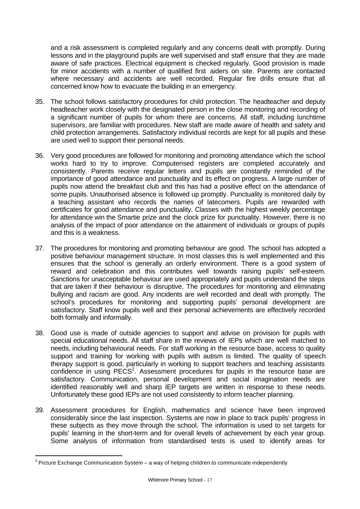and a risk assessment is completed regularly and any concerns dealt with promptly. During lessons and in the playground pupils are well supervised and staff ensure that they are made aware of safe practices. Electrical equipment is checked regularly. Good provision is made for minor accidents with a number of qualified first aiders on site. Parents are contacted where necessary and accidents are well recorded. Regular fire drills ensure that all concerned know how to evacuate the building in an emergency.

- 35. The school follows satisfactory procedures for child protection. The headteacher and deputy headteacher work closely with the designated person in the close monitoring and recording of a significant number of pupils for whom there are concerns. All staff, including lunchtime supervisors, are familiar with procedures. New staff are made aware of health and safety and child protection arrangements. Satisfactory individual records are kept for all pupils and these are used well to support their personal needs.
- 36. Very good procedures are followed for monitoring and promoting attendance which the school works hard to try to improve. Computerised registers are completed accurately and consistently. Parents receive regular letters and pupils are constantly reminded of the importance of good attendance and punctuality and its effect on progress. A large number of pupils now attend the breakfast club and this has had a positive effect on the attendance of some pupils. Unauthorised absence is followed up promptly. Punctuality is monitored daily by a teaching assistant who records the names of latecomers. Pupils are rewarded with certificates for good attendance and punctuality. Classes with the highest weekly percentage for attendance win the Smartie prize and the clock prize for punctuality. However, there is no analysis of the impact of poor attendance on the attainment of individuals or groups of pupils and this is a weakness.
- 37. The procedures for monitoring and promoting behaviour are good. The school has adopted a positive behaviour management structure. In most classes this is well implemented and this ensures that the school is generally an orderly environment. There is a good system of reward and celebration and this contributes well towards raising pupils' self-esteem. Sanctions for unacceptable behaviour are used appropriately and pupils understand the steps that are taken if their behaviour is disruptive. The procedures for monitoring and eliminating bullying and racism are good. Any incidents are well recorded and dealt with promptly. The school's procedures for monitoring and supporting pupils' personal development are satisfactory. Staff know pupils well and their personal achievements are effectively recorded both formally and informally.
- 38. Good use is made of outside agencies to support and advise on provision for pupils with special educational needs. All staff share in the reviews of IEPs which are well matched to needs, including behavioural needs. For staff working in the resource base, access to quality support and training for working with pupils with autism is limited. The quality of speech therapy support is good, particularly in working to support teachers and teaching assistants  $\overline{\text{confidence}}$  in using PECS<sup>2</sup>. Assessment procedures for pupils in the resource base are satisfactory. Communication, personal development and social imagination needs are identified reasonably well and sharp IEP targets are written in response to these needs. Unfortunately these good IEPs are not used consistently to inform teacher planning.
- 39. Assessment procedures for English, mathematics and science have been improved considerably since the last inspection. Systems are now in place to track pupils' progress in these subjects as they move through the school. The information is used to set targets for pupils' learning in the short-term and for overall levels of achievement by each year group. Some analysis of information from standardised tests is used to identify areas for

l

 $2$  Picture Exchange Communication System – a way of helping children to communicate independently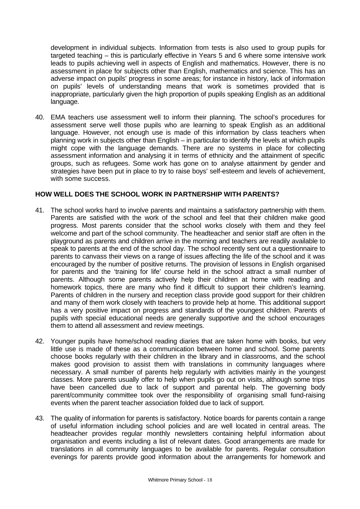development in individual subjects. Information from tests is also used to group pupils for targeted teaching – this is particularly effective in Years 5 and 6 where some intensive work leads to pupils achieving well in aspects of English and mathematics. However, there is no assessment in place for subjects other than English, mathematics and science. This has an adverse impact on pupils' progress in some areas; for instance in history, lack of information on pupils' levels of understanding means that work is sometimes provided that is inappropriate, particularly given the high proportion of pupils speaking English as an additional language.

40. EMA teachers use assessment well to inform their planning. The school's procedures for assessment serve well those pupils who are learning to speak English as an additional language. However, not enough use is made of this information by class teachers when planning work in subjects other than English – in particular to identify the levels at which pupils might cope with the language demands. There are no systems in place for collecting assessment information and analysing it in terms of ethnicity and the attainment of specific groups, such as refugees. Some work has gone on to analyse attainment by gender and strategies have been put in place to try to raise boys' self-esteem and levels of achievement, with some success.

## **HOW WELL DOES THE SCHOOL WORK IN PARTNERSHIP WITH PARENTS?**

- 41. The school works hard to involve parents and maintains a satisfactory partnership with them. Parents are satisfied with the work of the school and feel that their children make good progress. Most parents consider that the school works closely with them and they feel welcome and part of the school community. The headteacher and senior staff are often in the playground as parents and children arrive in the morning and teachers are readily available to speak to parents at the end of the school day. The school recently sent out a questionnaire to parents to canvass their views on a range of issues affecting the life of the school and it was encouraged by the number of positive returns. The provision of lessons in English organised for parents and the 'training for life' course held in the school attract a small number of parents. Although some parents actively help their children at home with reading and homework topics, there are many who find it difficult to support their children's learning. Parents of children in the nursery and reception class provide good support for their children and many of them work closely with teachers to provide help at home. This additional support has a very positive impact on progress and standards of the youngest children. Parents of pupils with special educational needs are generally supportive and the school encourages them to attend all assessment and review meetings.
- 42. Younger pupils have home/school reading diaries that are taken home with books, but very little use is made of these as a communication between home and school. Some parents choose books regularly with their children in the library and in classrooms, and the school makes good provision to assist them with translations in community languages where necessary. A small number of parents help regularly with activities mainly in the youngest classes. More parents usually offer to help when pupils go out on visits, although some trips have been cancelled due to lack of support and parental help. The governing body parent/community committee took over the responsibility of organising small fund-raising events when the parent teacher association folded due to lack of support.
- 43. The quality of information for parents is satisfactory. Notice boards for parents contain a range of useful information including school policies and are well located in central areas. The headteacher provides regular monthly newsletters containing helpful information about organisation and events including a list of relevant dates. Good arrangements are made for translations in all community languages to be available for parents. Regular consultation evenings for parents provide good information about the arrangements for homework and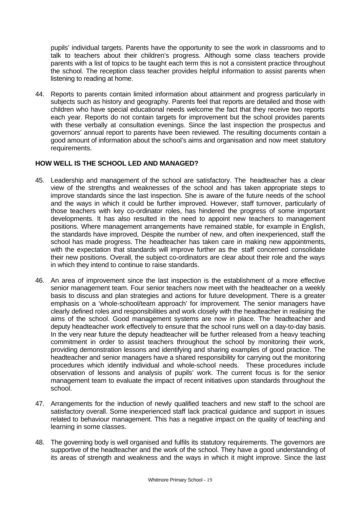pupils' individual targets. Parents have the opportunity to see the work in classrooms and to talk to teachers about their children's progress. Although some class teachers provide parents with a list of topics to be taught each term this is not a consistent practice throughout the school. The reception class teacher provides helpful information to assist parents when listening to reading at home.

44. Reports to parents contain limited information about attainment and progress particularly in subjects such as history and geography. Parents feel that reports are detailed and those with children who have special educational needs welcome the fact that they receive two reports each year. Reports do not contain targets for improvement but the school provides parents with these verbally at consultation evenings. Since the last inspection the prospectus and governors' annual report to parents have been reviewed. The resulting documents contain a good amount of information about the school's aims and organisation and now meet statutory requirements.

## **HOW WELL IS THE SCHOOL LED AND MANAGED?**

- 45. Leadership and management of the school are satisfactory. The headteacher has a clear view of the strengths and weaknesses of the school and has taken appropriate steps to improve standards since the last inspection. She is aware of the future needs of the school and the ways in which it could be further improved. However, staff turnover, particularly of those teachers with key co-ordinator roles, has hindered the progress of some important developments. It has also resulted in the need to appoint new teachers to management positions. Where management arrangements have remained stable, for example in English, the standards have improved, Despite the number of new, and often inexperienced, staff the school has made progress. The headteacher has taken care in making new appointments, with the expectation that standards will improve further as the staff concerned consolidate their new positions. Overall, the subject co-ordinators are clear about their role and the ways in which they intend to continue to raise standards.
- 46. An area of improvement since the last inspection is the establishment of a more effective senior management team. Four senior teachers now meet with the headteacher on a weekly basis to discuss and plan strategies and actions for future development. There is a greater emphasis on a 'whole-school/team approach' for improvement. The senior managers have clearly defined roles and responsibilities and work closely with the headteacher in realising the aims of the school. Good management systems are now in place. The headteacher and deputy headteacher work effectively to ensure that the school runs well on a day-to-day basis. In the very near future the deputy headteacher will be further released from a heavy teaching commitment in order to assist teachers throughout the school by monitoring their work, providing demonstration lessons and identifying and sharing examples of good practice. The headteacher and senior managers have a shared responsibility for carrying out the monitoring procedures which identify individual and whole-school needs. These procedures include observation of lessons and analysis of pupils' work. The current focus is for the senior management team to evaluate the impact of recent initiatives upon standards throughout the school.
- 47. Arrangements for the induction of newly qualified teachers and new staff to the school are satisfactory overall. Some inexperienced staff lack practical guidance and support in issues related to behaviour management. This has a negative impact on the quality of teaching and learning in some classes.
- 48. The governing body is well organised and fulfils its statutory requirements. The governors are supportive of the headteacher and the work of the school. They have a good understanding of its areas of strength and weakness and the ways in which it might improve. Since the last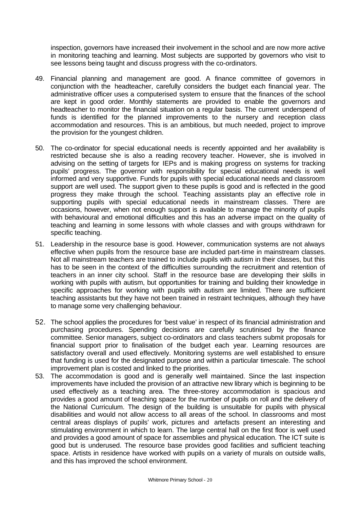inspection, governors have increased their involvement in the school and are now more active in monitoring teaching and learning. Most subjects are supported by governors who visit to see lessons being taught and discuss progress with the co-ordinators.

- 49. Financial planning and management are good. A finance committee of governors in conjunction with the headteacher, carefully considers the budget each financial year. The administrative officer uses a computerised system to ensure that the finances of the school are kept in good order. Monthly statements are provided to enable the governors and headteacher to monitor the financial situation on a regular basis. The current underspend of funds is identified for the planned improvements to the nursery and reception class accommodation and resources. This is an ambitious, but much needed, project to improve the provision for the youngest children.
- 50. The co-ordinator for special educational needs is recently appointed and her availability is restricted because she is also a reading recovery teacher. However, she is involved in advising on the setting of targets for IEPs and is making progress on systems for tracking pupils' progress. The governor with responsibility for special educational needs is well informed and very supportive. Funds for pupils with special educational needs and classroom support are well used. The support given to these pupils is good and is reflected in the good progress they make through the school. Teaching assistants play an effective role in supporting pupils with special educational needs in mainstream classes. There are occasions, however, when not enough support is available to manage the minority of pupils with behavioural and emotional difficulties and this has an adverse impact on the quality of teaching and learning in some lessons with whole classes and with groups withdrawn for specific teaching.
- 51. Leadership in the resource base is good. However, communication systems are not always effective when pupils from the resource base are included part-time in mainstream classes. Not all mainstream teachers are trained to include pupils with autism in their classes, but this has to be seen in the context of the difficulties surrounding the recruitment and retention of teachers in an inner city school. Staff in the resource base are developing their skills in working with pupils with autism, but opportunities for training and building their knowledge in specific approaches for working with pupils with autism are limited. There are sufficient teaching assistants but they have not been trained in restraint techniques, although they have to manage some very challenging behaviour.
- 52. The school applies the procedures for 'best value' in respect of its financial administration and purchasing procedures. Spending decisions are carefully scrutinised by the finance committee. Senior managers, subject co-ordinators and class teachers submit proposals for financial support prior to finalisation of the budget each year. Learning resources are satisfactory overall and used effectively. Monitoring systems are well established to ensure that funding is used for the designated purpose and within a particular timescale. The school improvement plan is costed and linked to the priorities.
- 53. The accommodation is good and is generally well maintained. Since the last inspection improvements have included the provision of an attractive new library which is beginning to be used effectively as a teaching area. The three-storey accommodation is spacious and provides a good amount of teaching space for the number of pupils on roll and the delivery of the National Curriculum. The design of the building is unsuitable for pupils with physical disabilities and would not allow access to all areas of the school. In classrooms and most central areas displays of pupils' work, pictures and artefacts present an interesting and stimulating environment in which to learn. The large central hall on the first floor is well used and provides a good amount of space for assemblies and physical education. The ICT suite is good but is underused. The resource base provides good facilities and sufficient teaching space. Artists in residence have worked with pupils on a variety of murals on outside walls, and this has improved the school environment.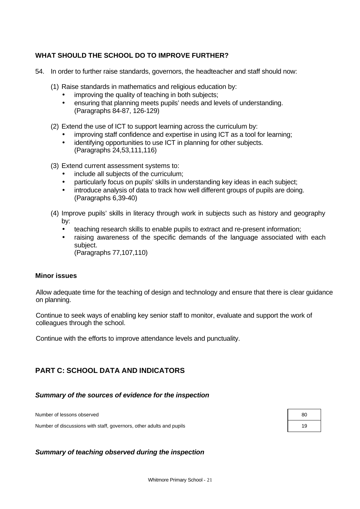# **WHAT SHOULD THE SCHOOL DO TO IMPROVE FURTHER?**

- 54. In order to further raise standards, governors, the headteacher and staff should now:
	- (1) Raise standards in mathematics and religious education by:
		- improving the quality of teaching in both subjects;
		- ensuring that planning meets pupils' needs and levels of understanding. (Paragraphs 84-87, 126-129)
	- (2) Extend the use of ICT to support learning across the curriculum by:
		- improving staff confidence and expertise in using ICT as a tool for learning;
		- identifying opportunities to use ICT in planning for other subjects. (Paragraphs 24,53,111,116)
	- (3) Extend current assessment systems to:
		- include all subjects of the curriculum;
		- particularly focus on pupils' skills in understanding key ideas in each subject;
		- introduce analysis of data to track how well different groups of pupils are doing. (Paragraphs 6,39-40)
	- (4) Improve pupils' skills in literacy through work in subjects such as history and geography by:
		- teaching research skills to enable pupils to extract and re-present information;
		- raising awareness of the specific demands of the language associated with each subject.
			- (Paragraphs 77,107,110)

## **Minor issues**

Allow adequate time for the teaching of design and technology and ensure that there is clear guidance on planning.

Continue to seek ways of enabling key senior staff to monitor, evaluate and support the work of colleagues through the school.

Continue with the efforts to improve attendance levels and punctuality.

# **PART C: SCHOOL DATA AND INDICATORS**

## *Summary of the sources of evidence for the inspection*

Number of lessons observed

Number of discussions with staff, governors, other adults and pupils 19

| 80 |  |
|----|--|
| 19 |  |

## *Summary of teaching observed during the inspection*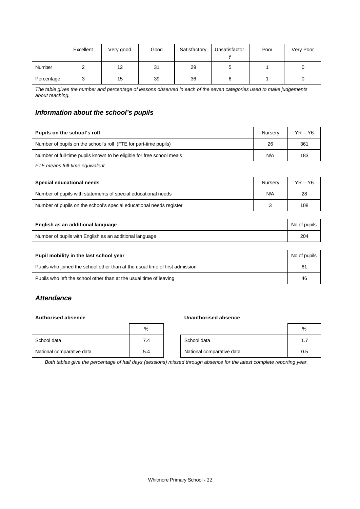|               | Excellent | Very good | Good | Satisfactory | Unsatisfactor | Poor | Very Poor |
|---------------|-----------|-----------|------|--------------|---------------|------|-----------|
| <b>Number</b> |           | 12        | 31   | 29           |               |      |           |
| Percentage    |           | 15        | 39   | 36           |               |      |           |

*The table gives the number and percentage of lessons observed in each of the seven categories used to make judgements about teaching.*

# *Information about the school's pupils*

| Pupils on the school's roll                                           | Nurserv | $YR - Y6$ |
|-----------------------------------------------------------------------|---------|-----------|
| Number of pupils on the school's roll (FTE for part-time pupils)      | 26      | 361       |
| Number of full-time pupils known to be eligible for free school meals | N/A     | 183       |

*FTE means full-time equivalent.*

| Special educational needs                                           | Nurserv | $YR - Y6$ |
|---------------------------------------------------------------------|---------|-----------|
| Number of pupils with statements of special educational needs       | N/A     | 28        |
| Number of pupils on the school's special educational needs register |         | 108       |

| English as an additional language                       | No of pupils    |
|---------------------------------------------------------|-----------------|
| Number of pupils with English as an additional language | 20 <sup>2</sup> |

| Pupil mobility in the last school year                                       | No of pupils |
|------------------------------------------------------------------------------|--------------|
| Pupils who joined the school other than at the usual time of first admission | 61           |
| Pupils who left the school other than at the usual time of leaving           | -46          |

## *Attendance*

#### **Authorised absence Unauthorised absence**

|                           | %   |                           | %      |
|---------------------------|-----|---------------------------|--------|
| School data               | 7.4 | School data               | л<br>. |
| National comparative data | 5.4 | National comparative data | 0.5    |

*Both tables give the percentage of half days (sessions) missed through absence for the latest complete reporting year.*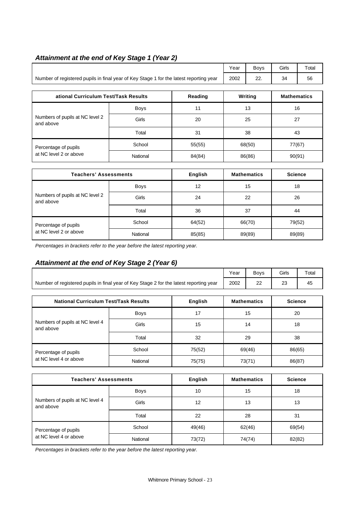# *Attainment at the end of Key Stage 1 (Year 2)*

|                                                                                        |             |         |    | <b>Boys</b> | Girls              | Total |
|----------------------------------------------------------------------------------------|-------------|---------|----|-------------|--------------------|-------|
| Number of registered pupils in final year of Key Stage 1 for the latest reporting year | 2002        | 22.     | 34 | 56          |                    |       |
|                                                                                        |             |         |    |             |                    |       |
| ational Curriculum Test/Task Results                                                   |             | Reading |    | Writing     | <b>Mathematics</b> |       |
|                                                                                        | <b>Boys</b> | 11      |    | 13          |                    | 16    |
| Numbers of pupils at NC level 2<br>and above                                           | Girls       | 20      | 25 |             | 27                 |       |
|                                                                                        | Total       | 31      |    | 38          |                    | 43    |
| Percentage of pupils                                                                   | School      | 55(55)  |    | 68(50)      | 77(67)             |       |
| at NC level 2 or above                                                                 | National    | 84(84)  |    | 86(86)      | 90(91)             |       |

| <b>Teachers' Assessments</b>                 |             | English | <b>Mathematics</b> | <b>Science</b> |
|----------------------------------------------|-------------|---------|--------------------|----------------|
|                                              | <b>Boys</b> | 12      | 15                 | 18             |
| Numbers of pupils at NC level 2<br>and above | Girls       | 24      | 22                 | 26             |
|                                              | Total       | 36      | 37                 | 44             |
| Percentage of pupils                         | School      | 64(52)  | 66(70)             | 79(52)         |
| at NC level 2 or above                       | National    | 85(85)  | 89(89)             | 89(89)         |

*Percentages in brackets refer to the year before the latest reporting year.*

# *Attainment at the end of Key Stage 2 (Year 6)*

|                                                                                        |             |                | Year | <b>Boys</b>        | Girls          | Total |
|----------------------------------------------------------------------------------------|-------------|----------------|------|--------------------|----------------|-------|
| Number of registered pupils in final year of Key Stage 2 for the latest reporting year | 2002        | 22             | 23   | 45                 |                |       |
|                                                                                        |             |                |      |                    |                |       |
| <b>National Curriculum Test/Task Results</b>                                           |             | <b>English</b> |      | <b>Mathematics</b> | <b>Science</b> |       |
|                                                                                        | <b>Boys</b> | 17             | 15   |                    | 20             |       |
| Numbers of pupils at NC level 4<br>and above                                           | Girls       | 15             | 14   |                    | 18             |       |
|                                                                                        | Total       | 32             | 29   |                    | 38             |       |
| Percentage of pupils                                                                   | School      | 75(52)         |      | 69(46)             | 86(65)         |       |
| at NC level 4 or above                                                                 | National    | 75(75)         |      | 73(71)             | 86(87)         |       |

| <b>Teachers' Assessments</b>                 |             | English | <b>Mathematics</b> | <b>Science</b> |
|----------------------------------------------|-------------|---------|--------------------|----------------|
|                                              | <b>Boys</b> | 10      | 15                 | 18             |
| Numbers of pupils at NC level 4<br>and above | Girls       | 12      | 13                 | 13             |
|                                              | Total       | 22      | 28                 | 31             |
| Percentage of pupils                         | School      | 49(46)  | 62(46)             | 69(54)         |
| at NC level 4 or above                       | National    | 73(72)  | 74(74)             | 82(82)         |

*Percentages in brackets refer to the year before the latest reporting year.*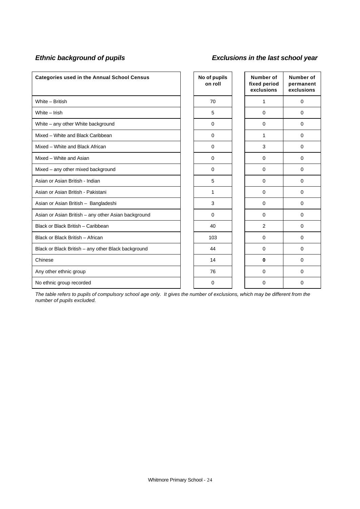# *Ethnic background of pupils Exclusions in the last school year*

| <b>Categories used in the Annual School Census</b>  | No of pupils<br>on roll | Number of<br>fixed period<br>exclusions | Number of<br>permanent<br>exclusions |
|-----------------------------------------------------|-------------------------|-----------------------------------------|--------------------------------------|
| White - British                                     | 70                      | 1                                       | $\mathbf 0$                          |
| White - Irish                                       | 5                       | 0                                       | 0                                    |
| White - any other White background                  | $\mathbf 0$             | $\mathbf 0$                             | 0                                    |
| Mixed - White and Black Caribbean                   | $\mathbf 0$             | 1                                       | 0                                    |
| Mixed - White and Black African                     | $\mathbf 0$             | 3                                       | $\mathbf 0$                          |
| Mixed - White and Asian                             | $\mathbf 0$             | $\mathbf 0$                             | 0                                    |
| Mixed - any other mixed background                  | $\mathbf 0$             | $\Omega$                                | 0                                    |
| Asian or Asian British - Indian                     | 5                       | $\Omega$                                | 0                                    |
| Asian or Asian British - Pakistani                  | 1                       | $\Omega$                                | 0                                    |
| Asian or Asian British - Bangladeshi                | 3                       | $\Omega$                                | 0                                    |
| Asian or Asian British - any other Asian background | $\Omega$                | $\Omega$                                | 0                                    |
| Black or Black British - Caribbean                  | 40                      | 2                                       | $\Omega$                             |
| Black or Black British - African                    | 103                     | $\Omega$                                | $\Omega$                             |
| Black or Black British - any other Black background | 44                      | $\Omega$                                | 0                                    |
| Chinese                                             | 14                      | $\bf{0}$                                | 0                                    |
| Any other ethnic group                              | 76                      | $\Omega$                                | $\Omega$                             |
| No ethnic group recorded                            | 0                       | $\Omega$                                | 0                                    |

*The table refers to pupils of compulsory school age only. It gives the number of exclusions, which may be different from the number of pupils excluded.*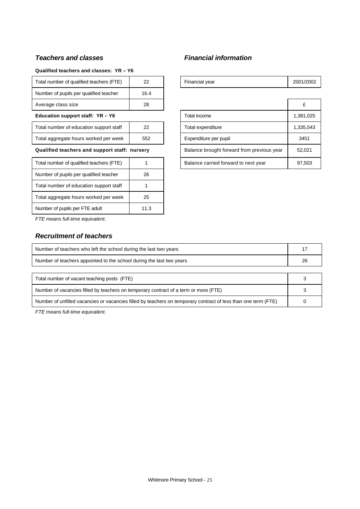# *Teachers and classes Financial information*

## **Qualified teachers and classes: YR – Y6**

| Total number of qualified teachers (FTE)      | 22   | Financial year                             | 2001/200 |
|-----------------------------------------------|------|--------------------------------------------|----------|
| Number of pupils per qualified teacher        | 16.4 |                                            |          |
| Average class size                            | 28   |                                            | £        |
| Education support staff: YR - Y6              |      | Total income                               | 1,381,02 |
| Total number of education support staff       | 22   | Total expenditure                          | 1,335,54 |
| Total aggregate hours worked per week         | 552  | Expenditure per pupil                      | 3451     |
| Qualified teachers and support staff: nursery |      | Balance brought forward from previous year | 52.021   |

| Total number of qualified teachers (FTE) |      |
|------------------------------------------|------|
| Number of pupils per qualified teacher   | 26   |
| Total number of education support staff  |      |
| Total aggregate hours worked per week    | 25   |
| Number of pupils per FTE adult           | 11.3 |

| Total number of qualified teachers (FTE)      | 22   |                                            | Financial year                       | 2001/2002 |
|-----------------------------------------------|------|--------------------------------------------|--------------------------------------|-----------|
| Number of pupils per qualified teacher        | 16.4 |                                            |                                      |           |
| Average class size                            | 28   |                                            |                                      | £         |
| Education support staff: YR - Y6              |      |                                            | Total income                         | 1,381,025 |
| Total number of education support staff       | 22   |                                            | Total expenditure                    | 1,335,543 |
| Total aggregate hours worked per week         | 552  |                                            | Expenditure per pupil                | 3451      |
| Qualified teachers and support staff: nursery |      | Balance brought forward from previous year | 52,021                               |           |
| Total number of qualified teachers (FTE)      |      |                                            | Balance carried forward to next year | 97,503    |

*FTE means full-time equivalent.*

# *Recruitment of teachers*

| Number of teachers who left the school during the last two years                                               |  |
|----------------------------------------------------------------------------------------------------------------|--|
| Number of teachers appointed to the school during the last two years                                           |  |
|                                                                                                                |  |
| Total number of vacant teaching posts (FTE)                                                                    |  |
| Number of vacancies filled by teachers on temporary contract of a term or more (FTE)                           |  |
| Number of unfilled vacancies or vacancies filled by teachers on temporary contract of less than one term (FTE) |  |

*FTE means full-time equivalent.*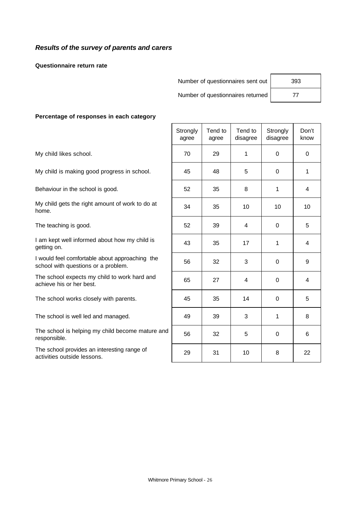## *Results of the survey of parents and carers*

**Questionnaire return rate**

| Number of questionnaires sent out | 393 |
|-----------------------------------|-----|
| Number of questionnaires returned | 77  |

#### **Percentage of responses in each category**

|                                                                                       | Strongly<br>agree | Tend to<br>agree | Tend to<br>disagree | Strongly<br>disagree | Don't<br>know |
|---------------------------------------------------------------------------------------|-------------------|------------------|---------------------|----------------------|---------------|
| My child likes school.                                                                | 70                | 29               | 1                   | 0                    | $\Omega$      |
| My child is making good progress in school.                                           | 45                | 48               | 5                   | 0                    | 1             |
| Behaviour in the school is good.                                                      | 52                | 35               | 8                   | 1                    | 4             |
| My child gets the right amount of work to do at<br>home.                              | 34                | 35               | 10                  | 10                   | 10            |
| The teaching is good.                                                                 | 52                | 39               | 4                   | $\Omega$             | 5             |
| I am kept well informed about how my child is<br>getting on.                          | 43                | 35               | 17                  | 1                    | 4             |
| I would feel comfortable about approaching the<br>school with questions or a problem. | 56                | 32               | 3                   | $\mathbf 0$          | 9             |
| The school expects my child to work hard and<br>achieve his or her best.              | 65                | 27               | 4                   | $\Omega$             | 4             |
| The school works closely with parents.                                                | 45                | 35               | 14                  | 0                    | 5             |
| The school is well led and managed.                                                   | 49                | 39               | 3                   | 1                    | 8             |
| The school is helping my child become mature and<br>responsible.                      | 56                | 32               | 5                   | $\Omega$             | 6             |
| The school provides an interesting range of<br>activities outside lessons.            | 29                | 31               | 10                  | 8                    | 22            |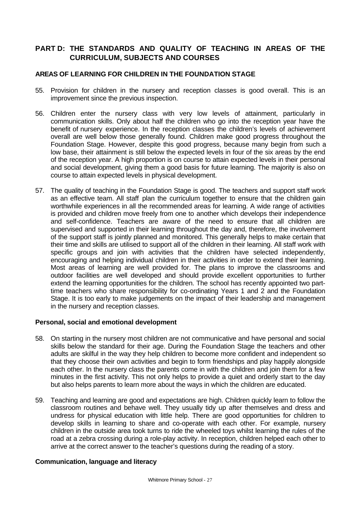# **PART D: THE STANDARDS AND QUALITY OF TEACHING IN AREAS OF THE CURRICULUM, SUBJECTS AND COURSES**

## **AREAS OF LEARNING FOR CHILDREN IN THE FOUNDATION STAGE**

- 55. Provision for children in the nursery and reception classes is good overall. This is an improvement since the previous inspection.
- 56. Children enter the nursery class with very low levels of attainment, particularly in communication skills. Only about half the children who go into the reception year have the benefit of nursery experience. In the reception classes the children's levels of achievement overall are well below those generally found. Children make good progress throughout the Foundation Stage. However, despite this good progress, because many begin from such a low base, their attainment is still below the expected levels in four of the six areas by the end of the reception year. A high proportion is on course to attain expected levels in their personal and social development, giving them a good basis for future learning. The majority is also on course to attain expected levels in physical development.
- 57. The quality of teaching in the Foundation Stage is good. The teachers and support staff work as an effective team. All staff plan the curriculum together to ensure that the children gain worthwhile experiences in all the recommended areas for learning. A wide range of activities is provided and children move freely from one to another which develops their independence and self-confidence. Teachers are aware of the need to ensure that all children are supervised and supported in their learning throughout the day and, therefore, the involvement of the support staff is jointly planned and monitored. This generally helps to make certain that their time and skills are utilised to support all of the children in their learning. All staff work with specific groups and join with activities that the children have selected independently, encouraging and helping individual children in their activities in order to extend their learning. Most areas of learning are well provided for. The plans to improve the classrooms and outdoor facilities are well developed and should provide excellent opportunities to further extend the learning opportunities for the children. The school has recently appointed two parttime teachers who share responsibility for co-ordinating Years 1 and 2 and the Foundation Stage. It is too early to make judgements on the impact of their leadership and management in the nursery and reception classes.

#### **Personal, social and emotional development**

- 58. On starting in the nursery most children are not communicative and have personal and social skills below the standard for their age. During the Foundation Stage the teachers and other adults are skilful in the way they help children to become more confident and independent so that they choose their own activities and begin to form friendships and play happily alongside each other. In the nursery class the parents come in with the children and join them for a few minutes in the first activity. This not only helps to provide a quiet and orderly start to the day but also helps parents to learn more about the ways in which the children are educated.
- 59. Teaching and learning are good and expectations are high. Children quickly learn to follow the classroom routines and behave well. They usually tidy up after themselves and dress and undress for physical education with little help. There are good opportunities for children to develop skills in learning to share and co-operate with each other. For example, nursery children in the outside area took turns to ride the wheeled toys whilst learning the rules of the road at a zebra crossing during a role-play activity. In reception, children helped each other to arrive at the correct answer to the teacher's questions during the reading of a story.

#### **Communication, language and literacy**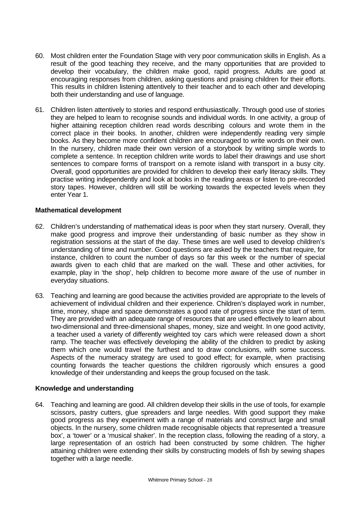- 60. Most children enter the Foundation Stage with very poor communication skills in English. As a result of the good teaching they receive, and the many opportunities that are provided to develop their vocabulary, the children make good, rapid progress. Adults are good at encouraging responses from children, asking questions and praising children for their efforts. This results in children listening attentively to their teacher and to each other and developing both their understanding and use of language.
- 61. Children listen attentively to stories and respond enthusiastically. Through good use of stories they are helped to learn to recognise sounds and individual words. In one activity, a group of higher attaining reception children read words describing colours and wrote them in the correct place in their books. In another, children were independently reading very simple books. As they become more confident children are encouraged to write words on their own. In the nursery, children made their own version of a storybook by writing simple words to complete a sentence. In reception children write words to label their drawings and use short sentences to compare forms of transport on a remote island with transport in a busy city. Overall, good opportunities are provided for children to develop their early literacy skills. They practise writing independently and look at books in the reading areas or listen to pre-recorded story tapes. However, children will still be working towards the expected levels when they enter Year 1.

## **Mathematical development**

- 62. Children's understanding of mathematical ideas is poor when they start nursery. Overall, they make good progress and improve their understanding of basic number as they show in registration sessions at the start of the day. These times are well used to develop children's understanding of time and number. Good questions are asked by the teachers that require, for instance, children to count the number of days so far this week or the number of special awards given to each child that are marked on the wall. These and other activities, for example, play in 'the shop', help children to become more aware of the use of number in everyday situations.
- 63. Teaching and learning are good because the activities provided are appropriate to the levels of achievement of individual children and their experience. Children's displayed work in number, time, money, shape and space demonstrates a good rate of progress since the start of term. They are provided with an adequate range of resources that are used effectively to learn about two-dimensional and three-dimensional shapes, money, size and weight. In one good activity, a teacher used a variety of differently weighted toy cars which were released down a short ramp. The teacher was effectively developing the ability of the children to predict by asking them which one would travel the furthest and to draw conclusions, with some success. Aspects of the numeracy strategy are used to good effect; for example, when practising counting forwards the teacher questions the children rigorously which ensures a good knowledge of their understanding and keeps the group focused on the task.

## **Knowledge and understanding**

64. Teaching and learning are good. All children develop their skills in the use of tools, for example scissors, pastry cutters, glue spreaders and large needles. With good support they make good progress as they experiment with a range of materials and construct large and small objects. In the nursery, some children made recognisable objects that represented a 'treasure box', a 'tower' or a 'musical shaker'. In the reception class, following the reading of a story, a large representation of an ostrich had been constructed by some children. The higher attaining children were extending their skills by constructing models of fish by sewing shapes together with a large needle.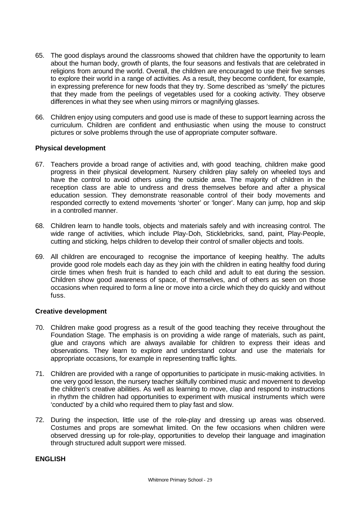- 65. The good displays around the classrooms showed that children have the opportunity to learn about the human body, growth of plants, the four seasons and festivals that are celebrated in religions from around the world. Overall, the children are encouraged to use their five senses to explore their world in a range of activities. As a result, they become confident, for example, in expressing preference for new foods that they try. Some described as 'smelly' the pictures that they made from the peelings of vegetables used for a cooking activity. They observe differences in what they see when using mirrors or magnifying glasses.
- 66. Children enjoy using computers and good use is made of these to support learning across the curriculum. Children are confident and enthusiastic when using the mouse to construct pictures or solve problems through the use of appropriate computer software.

## **Physical development**

- 67. Teachers provide a broad range of activities and, with good teaching, children make good progress in their physical development. Nursery children play safely on wheeled toys and have the control to avoid others using the outside area. The majority of children in the reception class are able to undress and dress themselves before and after a physical education session. They demonstrate reasonable control of their body movements and responded correctly to extend movements 'shorter' or 'longer'. Many can jump, hop and skip in a controlled manner.
- 68. Children learn to handle tools, objects and materials safely and with increasing control. The wide range of activities, which include Play-Doh, Sticklebricks, sand, paint, Play-People, cutting and sticking*,* helps children to develop their control of smaller objects and tools.
- 69. All children are encouraged to recognise the importance of keeping healthy. The adults provide good role models each day as they join with the children in eating healthy food during circle times when fresh fruit is handed to each child and adult to eat during the session. Children show good awareness of space, of themselves, and of others as seen on those occasions when required to form a line or move into a circle which they do quickly and without fuss.

## **Creative development**

- 70. Children make good progress as a result of the good teaching they receive throughout the Foundation Stage. The emphasis is on providing a wide range of materials, such as paint, glue and crayons which are always available for children to express their ideas and observations. They learn to explore and understand colour and use the materials for appropriate occasions, for example in representing traffic lights.
- 71. Children are provided with a range of opportunities to participate in music-making activities. In one very good lesson, the nursery teacher skilfully combined music and movement to develop the children's creative abilities. As well as learning to move, clap and respond to instructions in rhythm the children had opportunities to experiment with musical instruments which were 'conducted' by a child who required them to play fast and slow.
- 72. During the inspection, little use of the role-play and dressing up areas was observed. Costumes and props are somewhat limited. On the few occasions when children were observed dressing up for role-play, opportunities to develop their language and imagination through structured adult support were missed.

#### **ENGLISH**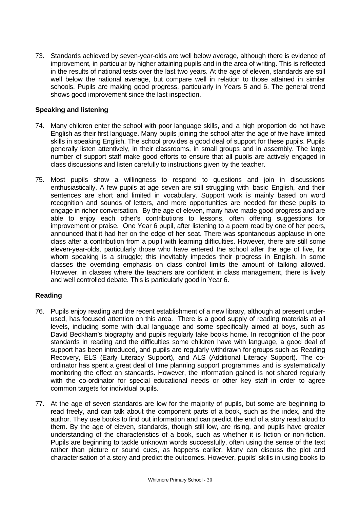73. Standards achieved by seven-year-olds are well below average, although there is evidence of improvement, in particular by higher attaining pupils and in the area of writing. This is reflected in the results of national tests over the last two years. At the age of eleven, standards are still well below the national average, but compare well in relation to those attained in similar schools. Pupils are making good progress, particularly in Years 5 and 6. The general trend shows good improvement since the last inspection.

## **Speaking and listening**

- 74. Many children enter the school with poor language skills, and a high proportion do not have English as their first language. Many pupils joining the school after the age of five have limited skills in speaking English. The school provides a good deal of support for these pupils. Pupils generally listen attentively, in their classrooms, in small groups and in assembly. The large number of support staff make good efforts to ensure that all pupils are actively engaged in class discussions and listen carefully to instructions given by the teacher.
- 75. Most pupils show a willingness to respond to questions and join in discussions enthusiastically. A few pupils at age seven are still struggling with basic English, and their sentences are short and limited in vocabulary. Support work is mainly based on word recognition and sounds of letters, and more opportunities are needed for these pupils to engage in richer conversation. By the age of eleven, many have made good progress and are able to enjoy each other's contributions to lessons, often offering suggestions for improvement or praise. One Year 6 pupil, after listening to a poem read by one of her peers, announced that it had her on the edge of her seat. There was spontaneous applause in one class after a contribution from a pupil with learning difficulties. However, there are still some eleven-year-olds, particularly those who have entered the school after the age of five, for whom speaking is a struggle; this inevitably impedes their progress in English. In some classes the overriding emphasis on class control limits the amount of talking allowed. However, in classes where the teachers are confident in class management, there is lively and well controlled debate. This is particularly good in Year 6.

## **Reading**

- 76. Pupils enjoy reading and the recent establishment of a new library, although at present underused, has focused attention on this area. There is a good supply of reading materials at all levels, including some with dual language and some specifically aimed at boys, such as David Beckham's biography and pupils regularly take books home. In recognition of the poor standards in reading and the difficulties some children have with language, a good deal of support has been introduced, and pupils are regularly withdrawn for groups such as Reading Recovery, ELS (Early Literacy Support), and ALS (Additional Literacy Support). The coordinator has spent a great deal of time planning support programmes and is systematically monitoring the effect on standards. However, the information gained is not shared regularly with the co-ordinator for special educational needs or other key staff in order to agree common targets for individual pupils.
- 77. At the age of seven standards are low for the majority of pupils, but some are beginning to read freely, and can talk about the component parts of a book, such as the index, and the author. They use books to find out information and can predict the end of a story read aloud to them. By the age of eleven, standards, though still low, are rising, and pupils have greater understanding of the characteristics of a book, such as whether it is fiction or non-fiction. Pupils are beginning to tackle unknown words successfully, often using the sense of the text rather than picture or sound cues, as happens earlier. Many can discuss the plot and characterisation of a story and predict the outcomes. However, pupils' skills in using books to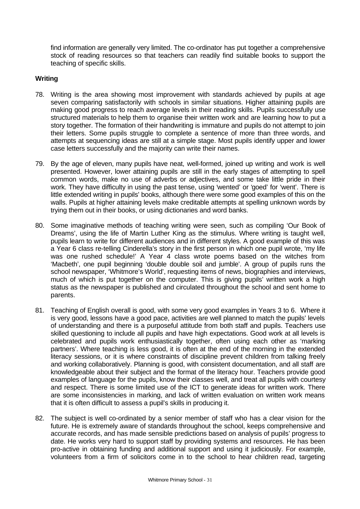find information are generally very limited. The co-ordinator has put together a comprehensive stock of reading resources so that teachers can readily find suitable books to support the teaching of specific skills.

## **Writing**

- 78. Writing is the area showing most improvement with standards achieved by pupils at age seven comparing satisfactorily with schools in similar situations. Higher attaining pupils are making good progress to reach average levels in their reading skills. Pupils successfully use structured materials to help them to organise their written work and are learning how to put a story together. The formation of their handwriting is immature and pupils do not attempt to join their letters. Some pupils struggle to complete a sentence of more than three words, and attempts at sequencing ideas are still at a simple stage. Most pupils identify upper and lower case letters successfully and the majority can write their names.
- 79. By the age of eleven, many pupils have neat, well-formed, joined up writing and work is well presented. However, lower attaining pupils are still in the early stages of attempting to spell common words, make no use of adverbs or adjectives, and some take little pride in their work. They have difficulty in using the past tense, using 'wented' or 'goed' for 'went'. There is little extended writing in pupils' books, although there were some good examples of this on the walls. Pupils at higher attaining levels make creditable attempts at spelling unknown words by trying them out in their books, or using dictionaries and word banks.
- 80. Some imaginative methods of teaching writing were seen, such as compiling 'Our Book of Dreams', using the life of Martin Luther King as the stimulus. Where writing is taught well, pupils learn to write for different audiences and in different styles. A good example of this was a Year 6 class re-telling Cinderella's story in the first person in which one pupil wrote, 'my life was one rushed schedule!' A Year 4 class wrote poems based on the witches from 'Macbeth', one pupil beginning 'double double soil and jumble'. A group of pupils runs the school newspaper, 'Whitmore's World', requesting items of news, biographies and interviews, much of which is put together on the computer. This is giving pupils' written work a high status as the newspaper is published and circulated throughout the school and sent home to parents.
- 81. Teaching of English overall is good, with some very good examples in Years 3 to 6. Where it is very good, lessons have a good pace, activities are well planned to match the pupils' levels of understanding and there is a purposeful attitude from both staff and pupils. Teachers use skilled questioning to include all pupils and have high expectations. Good work at all levels is celebrated and pupils work enthusiastically together, often using each other as 'marking partners'. Where teaching is less good, it is often at the end of the morning in the extended literacy sessions, or it is where constraints of discipline prevent children from talking freely and working collaboratively. Planning is good, with consistent documentation, and all staff are knowledgeable about their subject and the format of the literacy hour. Teachers provide good examples of language for the pupils, know their classes well, and treat all pupils with courtesy and respect. There is some limited use of the ICT to generate ideas for written work. There are some inconsistencies in marking, and lack of written evaluation on written work means that it is often difficult to assess a pupil's skills in producing it.
- 82. The subject is well co-ordinated by a senior member of staff who has a clear vision for the future. He is extremely aware of standards throughout the school, keeps comprehensive and accurate records, and has made sensible predictions based on analysis of pupils' progress to date. He works very hard to support staff by providing systems and resources. He has been pro-active in obtaining funding and additional support and using it judiciously. For example, volunteers from a firm of solicitors come in to the school to hear children read, targeting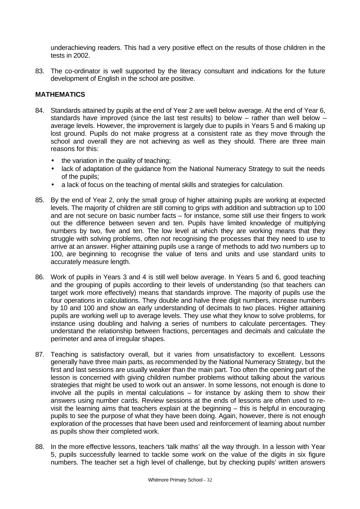underachieving readers. This had a very positive effect on the results of those children in the tests in 2002.

83. The co-ordinator is well supported by the literacy consultant and indications for the future development of English in the school are positive.

## **MATHEMATICS**

- 84. Standards attained by pupils at the end of Year 2 are well below average. At the end of Year 6, standards have improved (since the last test results) to below – rather than well below – average levels. However, the improvement is largely due to pupils in Years 5 and 6 making up lost ground. Pupils do not make progress at a consistent rate as they move through the school and overall they are not achieving as well as they should. There are three main reasons for this:
	- the variation in the quality of teaching;
	- lack of adaptation of the quidance from the National Numeracy Strategy to suit the needs of the pupils;
	- a lack of focus on the teaching of mental skills and strategies for calculation.
- 85. By the end of Year 2, only the small group of higher attaining pupils are working at expected levels. The majority of children are still coming to grips with addition and subtraction up to 100 and are not secure on basic number facts – for instance, some still use their fingers to work out the difference between seven and ten. Pupils have limited knowledge of multiplying numbers by two, five and ten. The low level at which they are working means that they struggle with solving problems, often not recognising the processes that they need to use to arrive at an answer. Higher attaining pupils use a range of methods to add two numbers up to 100, are beginning to recognise the value of tens and units and use standard units to accurately measure length.
- 86. Work of pupils in Years 3 and 4 is still well below average. In Years 5 and 6, good teaching and the grouping of pupils according to their levels of understanding (so that teachers can target work more effectively) means that standards improve. The majority of pupils use the four operations in calculations. They double and halve three digit numbers, increase numbers by 10 and 100 and show an early understanding of decimals to two places. Higher attaining pupils are working well up to average levels. They use what they know to solve problems, for instance using doubling and halving a series of numbers to calculate percentages. They understand the relationship between fractions, percentages and decimals and calculate the perimeter and area of irregular shapes.
- 87. Teaching is satisfactory overall, but it varies from unsatisfactory to excellent. Lessons generally have three main parts, as recommended by the National Numeracy Strategy, but the first and last sessions are usually weaker than the main part. Too often the opening part of the lesson is concerned with giving children number problems without talking about the various strategies that might be used to work out an answer. In some lessons, not enough is done to involve all the pupils in mental calculations – for instance by asking them to show their answers using number cards. Review sessions at the ends of lessons are often used to revisit the learning aims that teachers explain at the beginning – this is helpful in encouraging pupils to see the purpose of what they have been doing. Again, however, there is not enough exploration of the processes that have been used and reinforcement of learning about number as pupils show their completed work.
- 88. In the more effective lessons, teachers 'talk maths' all the way through. In a lesson with Year 5, pupils successfully learned to tackle some work on the value of the digits in six figure numbers. The teacher set a high level of challenge, but by checking pupils' written answers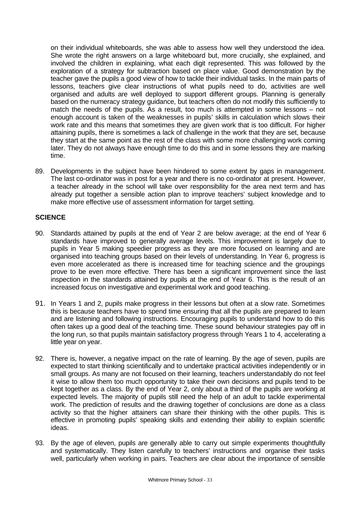on their individual whiteboards, she was able to assess how well they understood the idea. She wrote the right answers on a large whiteboard but, more crucially, she explained, and involved the children in explaining, what each digit represented. This was followed by the exploration of a strategy for subtraction based on place value. Good demonstration by the teacher gave the pupils a good view of how to tackle their individual tasks. In the main parts of lessons, teachers give clear instructions of what pupils need to do, activities are well organised and adults are well deployed to support different groups. Planning is generally based on the numeracy strategy guidance, but teachers often do not modify this sufficiently to match the needs of the pupils. As a result, too much is attempted in some lessons – not enough account is taken of the weaknesses in pupils' skills in calculation which slows their work rate and this means that sometimes they are given work that is too difficult. For higher attaining pupils, there is sometimes a lack of challenge in the work that they are set, because they start at the same point as the rest of the class with some more challenging work coming later. They do not always have enough time to do this and in some lessons they are marking time.

89. Developments in the subject have been hindered to some extent by gaps in management. The last co-ordinator was in post for a year and there is no co-ordinator at present. However, a teacher already in the school will take over responsibility for the area next term and has already put together a sensible action plan to improve teachers' subject knowledge and to make more effective use of assessment information for target setting.

## **SCIENCE**

- 90. Standards attained by pupils at the end of Year 2 are below average; at the end of Year 6 standards have improved to generally average levels. This improvement is largely due to pupils in Year 5 making speedier progress as they are more focused on learning and are organised into teaching groups based on their levels of understanding. In Year 6, progress is even more accelerated as there is increased time for teaching science and the groupings prove to be even more effective. There has been a significant improvement since the last inspection in the standards attained by pupils at the end of Year 6. This is the result of an increased focus on investigative and experimental work and good teaching.
- 91. In Years 1 and 2, pupils make progress in their lessons but often at a slow rate. Sometimes this is because teachers have to spend time ensuring that all the pupils are prepared to learn and are listening and following instructions. Encouraging pupils to understand how to do this often takes up a good deal of the teaching time. These sound behaviour strategies pay off in the long run, so that pupils maintain satisfactory progress through Years 1 to 4, accelerating a little year on year.
- 92. There is, however, a negative impact on the rate of learning. By the age of seven, pupils are expected to start thinking scientifically and to undertake practical activities independently or in small groups. As many are not focused on their learning, teachers understandably do not feel it wise to allow them too much opportunity to take their own decisions and pupils tend to be kept together as a class. By the end of Year 2, only about a third of the pupils are working at expected levels. The majority of pupils still need the help of an adult to tackle experimental work. The prediction of results and the drawing together of conclusions are done as a class activity so that the higher attainers can share their thinking with the other pupils. This is effective in promoting pupils' speaking skills and extending their ability to explain scientific ideas.
- 93. By the age of eleven, pupils are generally able to carry out simple experiments thoughtfully and systematically. They listen carefully to teachers' instructions and organise their tasks well, particularly when working in pairs. Teachers are clear about the importance of sensible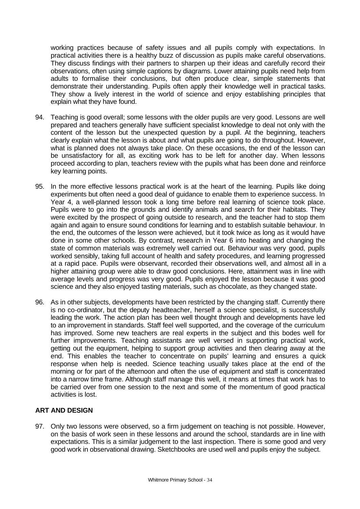working practices because of safety issues and all pupils comply with expectations. In practical activities there is a healthy buzz of discussion as pupils make careful observations. They discuss findings with their partners to sharpen up their ideas and carefully record their observations, often using simple captions by diagrams. Lower attaining pupils need help from adults to formalise their conclusions, but often produce clear, simple statements that demonstrate their understanding. Pupils often apply their knowledge well in practical tasks. They show a lively interest in the world of science and enjoy establishing principles that explain what they have found.

- 94. Teaching is good overall; some lessons with the older pupils are very good. Lessons are well prepared and teachers generally have sufficient specialist knowledge to deal not only with the content of the lesson but the unexpected question by a pupil. At the beginning, teachers clearly explain what the lesson is about and what pupils are going to do throughout. However, what is planned does not always take place. On these occasions, the end of the lesson can be unsatisfactory for all, as exciting work has to be left for another day. When lessons proceed according to plan, teachers review with the pupils what has been done and reinforce key learning points.
- 95. In the more effective lessons practical work is at the heart of the learning. Pupils like doing experiments but often need a good deal of guidance to enable them to experience success. In Year 4, a well-planned lesson took a long time before real learning of science took place. Pupils were to go into the grounds and identify animals and search for their habitats. They were excited by the prospect of going outside to research, and the teacher had to stop them again and again to ensure sound conditions for learning and to establish suitable behaviour. In the end, the outcomes of the lesson were achieved, but it took twice as long as it would have done in some other schools. By contrast, research in Year 6 into heating and changing the state of common materials was extremely well carried out. Behaviour was very good, pupils worked sensibly, taking full account of health and safety procedures, and learning progressed at a rapid pace. Pupils were observant, recorded their observations well, and almost all in a higher attaining group were able to draw good conclusions. Here, attainment was in line with average levels and progress was very good. Pupils enjoyed the lesson because it was good science and they also enjoyed tasting materials, such as chocolate, as they changed state.
- 96. As in other subjects, developments have been restricted by the changing staff. Currently there is no co-ordinator, but the deputy headteacher, herself a science specialist, is successfully leading the work. The action plan has been well thought through and developments have led to an improvement in standards. Staff feel well supported, and the coverage of the curriculum has improved. Some new teachers are real experts in the subject and this bodes well for further improvements. Teaching assistants are well versed in supporting practical work, getting out the equipment, helping to support group activities and then clearing away at the end. This enables the teacher to concentrate on pupils' learning and ensures a quick response when help is needed. Science teaching usually takes place at the end of the morning or for part of the afternoon and often the use of equipment and staff is concentrated into a narrow time frame. Although staff manage this well, it means at times that work has to be carried over from one session to the next and some of the momentum of good practical activities is lost.

# **ART AND DESIGN**

97. Only two lessons were observed, so a firm judgement on teaching is not possible. However, on the basis of work seen in these lessons and around the school, standards are in line with expectations. This is a similar judgement to the last inspection. There is some good and very good work in observational drawing. Sketchbooks are used well and pupils enjoy the subject.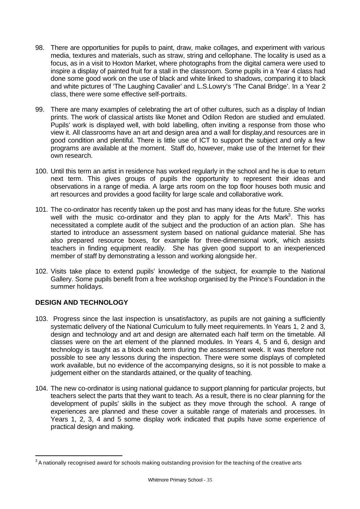- 98. There are opportunities for pupils to paint, draw, make collages, and experiment with various media, textures and materials, such as straw, string and cellophane. The locality is used as a focus, as in a visit to Hoxton Market, where photographs from the digital camera were used to inspire a display of painted fruit for a stall in the classroom. Some pupils in a Year 4 class had done some good work on the use of black and white linked to shadows, comparing it to black and white pictures of 'The Laughing Cavalier' and L.S.Lowry's 'The Canal Bridge'. In a Year 2 class, there were some effective self-portraits.
- 99. There are many examples of celebrating the art of other cultures, such as a display of Indian prints. The work of classical artists like Monet and Odilon Redon are studied and emulated. Pupils' work is displayed well, with bold labelling, often inviting a response from those who view it. All classrooms have an art and design area and a wall for display,and resources are in good condition and plentiful. There is little use of ICT to support the subject and only a few programs are available at the moment. Staff do, however, make use of the Internet for their own research.
- 100. Until this term an artist in residence has worked regularly in the school and he is due to return next term. This gives groups of pupils the opportunity to represent their ideas and observations in a range of media. A large arts room on the top floor houses both music and art resources and provides a good facility for large scale and collaborative work.
- 101. The co-ordinator has recently taken up the post and has many ideas for the future. She works well with the music co-ordinator and they plan to apply for the Arts Mark<sup>3</sup>. This has necessitated a complete audit of the subject and the production of an action plan. She has started to introduce an assessment system based on national guidance material. She has also prepared resource boxes, for example for three-dimensional work, which assists teachers in finding equipment readily. She has given good support to an inexperienced member of staff by demonstrating a lesson and working alongside her.
- 102. Visits take place to extend pupils' knowledge of the subject, for example to the National Gallery. Some pupils benefit from a free workshop organised by the Prince's Foundation in the summer holidays.

# **DESIGN AND TECHNOLOGY**

l

- 103. Progress since the last inspection is unsatisfactory, as pupils are not gaining a sufficiently systematic delivery of the National Curriculum to fully meet requirements. In Years 1, 2 and 3, design and technology and art and design are alternated each half term on the timetable. All classes were on the art element of the planned modules. In Years 4, 5 and 6, design and technology is taught as a block each term during the assessment week. It was therefore not possible to see any lessons during the inspection. There were some displays of completed work available, but no evidence of the accompanying designs, so it is not possible to make a judgement either on the standards attained, or the quality of teaching.
- 104. The new co-ordinator is using national guidance to support planning for particular projects, but teachers select the parts that they want to teach. As a result, there is no clear planning for the development of pupils' skills in the subject as they move through the school. A range of experiences are planned and these cover a suitable range of materials and processes. In Years 1, 2, 3, 4 and 5 some display work indicated that pupils have some experience of practical design and making.

 $^3$  A nationally recognised award for schools making outstanding provision for the teaching of the creative arts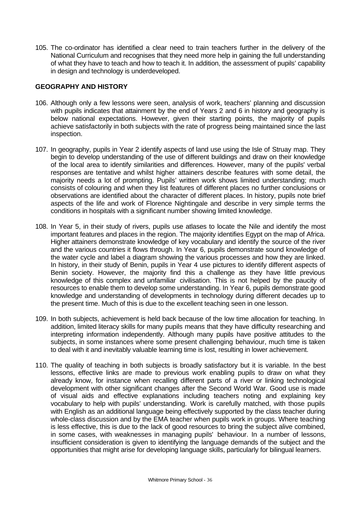105. The co-ordinator has identified a clear need to train teachers further in the delivery of the National Curriculum and recognises that they need more help in gaining the full understanding of what they have to teach and how to teach it. In addition, the assessment of pupils' capability in design and technology is underdeveloped.

## **GEOGRAPHY AND HISTORY**

- 106. Although only a few lessons were seen, analysis of work, teachers' planning and discussion with pupils indicates that attainment by the end of Years 2 and 6 in history and geography is below national expectations. However, given their starting points, the majority of pupils achieve satisfactorily in both subjects with the rate of progress being maintained since the last inspection.
- 107. In geography, pupils in Year 2 identify aspects of land use using the Isle of Struay map. They begin to develop understanding of the use of different buildings and draw on their knowledge of the local area to identify similarities and differences. However, many of the pupils' verbal responses are tentative and whilst higher attainers describe features with some detail, the majority needs a lot of prompting. Pupils' written work shows limited understanding; much consists of colouring and when they list features of different places no further conclusions or observations are identified about the character of different places. In history, pupils note brief aspects of the life and work of Florence Nightingale and describe in very simple terms the conditions in hospitals with a significant number showing limited knowledge.
- 108. In Year 5, in their study of rivers, pupils use atlases to locate the Nile and identify the most important features and places in the region. The majority identifies Egypt on the map of Africa. Higher attainers demonstrate knowledge of key vocabulary and identify the source of the river and the various countries it flows through. In Year 6, pupils demonstrate sound knowledge of the water cycle and label a diagram showing the various processes and how they are linked. In history, in their study of Benin, pupils in Year 4 use pictures to identify different aspects of Benin society. However, the majority find this a challenge as they have little previous knowledge of this complex and unfamiliar civilisation. This is not helped by the paucity of resources to enable them to develop some understanding. In Year 6, pupils demonstrate good knowledge and understanding of developments in technology during different decades up to the present time. Much of this is due to the excellent teaching seen in one lesson.
- 109. In both subjects, achievement is held back because of the low time allocation for teaching. In addition, limited literacy skills for many pupils means that they have difficulty researching and interpreting information independently. Although many pupils have positive attitudes to the subjects, in some instances where some present challenging behaviour, much time is taken to deal with it and inevitably valuable learning time is lost, resulting in lower achievement.
- 110. The quality of teaching in both subjects is broadly satisfactory but it is variable. In the best lessons, effective links are made to previous work enabling pupils to draw on what they already know, for instance when recalling different parts of a river or linking technological development with other significant changes after the Second World War. Good use is made of visual aids and effective explanations including teachers noting and explaining key vocabulary to help with pupils' understanding. Work is carefully matched, with those pupils with English as an additional language being effectively supported by the class teacher during whole-class discussion and by the EMA teacher when pupils work in groups. Where teaching is less effective, this is due to the lack of good resources to bring the subject alive combined, in some cases, with weaknesses in managing pupils' behaviour. In a number of lessons, insufficient consideration is given to identifying the language demands of the subject and the opportunities that might arise for developing language skills, particularly for bilingual learners.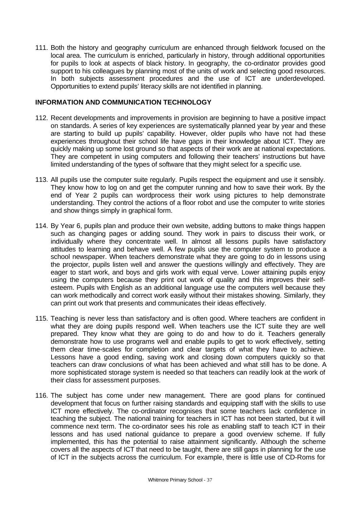111. Both the history and geography curriculum are enhanced through fieldwork focused on the local area. The curriculum is enriched, particularly in history, through additional opportunities for pupils to look at aspects of black history. In geography, the co-ordinator provides good support to his colleagues by planning most of the units of work and selecting good resources. In both subjects assessment procedures and the use of ICT are underdeveloped. Opportunities to extend pupils' literacy skills are not identified in planning.

## **INFORMATION AND COMMUNICATION TECHNOLOGY**

- 112. Recent developments and improvements in provision are beginning to have a positive impact on standards. A series of key experiences are systematically planned year by year and these are starting to build up pupils' capability. However, older pupils who have not had these experiences throughout their school life have gaps in their knowledge about ICT. They are quickly making up some lost ground so that aspects of their work are at national expectations. They are competent in using computers and following their teachers' instructions but have limited understanding of the types of software that they might select for a specific use.
- 113. All pupils use the computer suite regularly. Pupils respect the equipment and use it sensibly. They know how to log on and get the computer running and how to save their work. By the end of Year 2 pupils can wordprocess their work using pictures to help demonstrate understanding. They control the actions of a floor robot and use the computer to write stories and show things simply in graphical form.
- 114. By Year 6, pupils plan and produce their own website, adding buttons to make things happen such as changing pages or adding sound. They work in pairs to discuss their work, or individually where they concentrate well. In almost all lessons pupils have satisfactory attitudes to learning and behave well. A few pupils use the computer system to produce a school newspaper. When teachers demonstrate what they are going to do in lessons using the projector, pupils listen well and answer the questions willingly and effectively. They are eager to start work, and boys and girls work with equal verve. Lower attaining pupils enjoy using the computers because they print out work of quality and this improves their selfesteem. Pupils with English as an additional language use the computers well because they can work methodically and correct work easily without their mistakes showing. Similarly, they can print out work that presents and communicates their ideas effectively.
- 115. Teaching is never less than satisfactory and is often good. Where teachers are confident in what they are doing pupils respond well. When teachers use the ICT suite they are well prepared. They know what they are going to do and how to do it. Teachers generally demonstrate how to use programs well and enable pupils to get to work effectively, setting them clear time-scales for completion and clear targets of what they have to achieve. Lessons have a good ending, saving work and closing down computers quickly so that teachers can draw conclusions of what has been achieved and what still has to be done. A more sophisticated storage system is needed so that teachers can readily look at the work of their class for assessment purposes.
- 116. The subject has come under new management. There are good plans for continued development that focus on further raising standards and equipping staff with the skills to use ICT more effectively. The co-ordinator recognises that some teachers lack confidence in teaching the subject. The national training for teachers in ICT has not been started, but it will commence next term. The co-ordinator sees his role as enabling staff to teach ICT in their lessons and has used national guidance to prepare a good overview scheme. If fully implemented, this has the potential to raise attainment significantly. Although the scheme covers all the aspects of ICT that need to be taught, there are still gaps in planning for the use of ICT in the subjects across the curriculum. For example, there is little use of CD-Roms for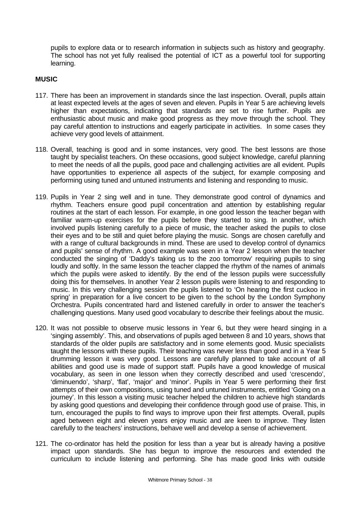pupils to explore data or to research information in subjects such as history and geography. The school has not yet fully realised the potential of ICT as a powerful tool for supporting learning.

## **MUSIC**

- 117. There has been an improvement in standards since the last inspection. Overall, pupils attain at least expected levels at the ages of seven and eleven. Pupils in Year 5 are achieving levels higher than expectations, indicating that standards are set to rise further. Pupils are enthusiastic about music and make good progress as they move through the school. They pay careful attention to instructions and eagerly participate in activities. In some cases they achieve very good levels of attainment.
- 118. Overall, teaching is good and in some instances, very good. The best lessons are those taught by specialist teachers. On these occasions, good subject knowledge, careful planning to meet the needs of all the pupils, good pace and challenging activities are all evident. Pupils have opportunities to experience all aspects of the subject, for example composing and performing using tuned and untuned instruments and listening and responding to music.
- 119. Pupils in Year 2 sing well and in tune. They demonstrate good control of dynamics and rhythm. Teachers ensure good pupil concentration and attention by establishing regular routines at the start of each lesson. For example, in one good lesson the teacher began with familiar warm-up exercises for the pupils before they started to sing. In another, which involved pupils listening carefully to a piece of music, the teacher asked the pupils to close their eyes and to be still and quiet before playing the music. Songs are chosen carefully and with a range of cultural backgrounds in mind. These are used to develop control of dynamics and pupils' sense of rhythm. A good example was seen in a Year 2 lesson when the teacher conducted the singing of 'Daddy's taking us to the zoo tomorrow' requiring pupils to sing loudly and softly. In the same lesson the teacher clapped the rhythm of the names of animals which the pupils were asked to identify. By the end of the lesson pupils were successfully doing this for themselves. In another Year 2 lesson pupils were listening to and responding to music. In this very challenging session the pupils listened to 'On hearing the first cuckoo in spring' in preparation for a live concert to be given to the school by the London Symphony Orchestra. Pupils concentrated hard and listened carefully in order to answer the teacher's challenging questions. Many used good vocabulary to describe their feelings about the music.
- 120. It was not possible to observe music lessons in Year 6, but they were heard singing in a 'singing assembly'. This, and observations of pupils aged between 8 and 10 years, shows that standards of the older pupils are satisfactory and in some elements good. Music specialists taught the lessons with these pupils. Their teaching was never less than good and in a Year 5 drumming lesson it was very good. Lessons are carefully planned to take account of all abilities and good use is made of support staff. Pupils have a good knowledge of musical vocabulary, as seen in one lesson when they correctly described and used 'crescendo', 'diminuendo', 'sharp', 'flat', 'major' and 'minor'. Pupils in Year 5 were performing their first attempts of their own compositions, using tuned and untuned instruments, entitled 'Going on a journey'. In this lesson a visiting music teacher helped the children to achieve high standards by asking good questions and developing their confidence through good use of praise. This, in turn, encouraged the pupils to find ways to improve upon their first attempts. Overall, pupils aged between eight and eleven years enjoy music and are keen to improve. They listen carefully to the teachers' instructions, behave well and develop a sense of achievement.
- 121. The co-ordinator has held the position for less than a year but is already having a positive impact upon standards. She has begun to improve the resources and extended the curriculum to include listening and performing. She has made good links with outside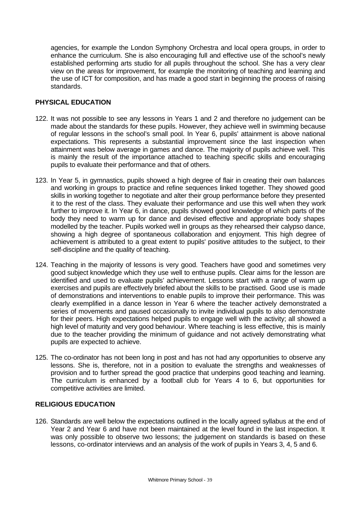agencies, for example the London Symphony Orchestra and local opera groups, in order to enhance the curriculum. She is also encouraging full and effective use of the school's newly established performing arts studio for all pupils throughout the school. She has a very clear view on the areas for improvement, for example the monitoring of teaching and learning and the use of ICT for composition, and has made a good start in beginning the process of raising standards.

# **PHYSICAL EDUCATION**

- 122. It was not possible to see any lessons in Years 1 and 2 and therefore no judgement can be made about the standards for these pupils. However, they achieve well in swimming because of regular lessons in the school's small pool. In Year 6, pupils' attainment is above national expectations. This represents a substantial improvement since the last inspection when attainment was below average in games and dance. The majority of pupils achieve well. This is mainly the result of the importance attached to teaching specific skills and encouraging pupils to evaluate their performance and that of others.
- 123. In Year 5, in gymnastics, pupils showed a high degree of flair in creating their own balances and working in groups to practice and refine sequences linked together. They showed good skills in working together to negotiate and alter their group performance before they presented it to the rest of the class. They evaluate their performance and use this well when they work further to improve it. In Year 6, in dance, pupils showed good knowledge of which parts of the body they need to warm up for dance and devised effective and appropriate body shapes modelled by the teacher. Pupils worked well in groups as they rehearsed their calypso dance, showing a high degree of spontaneous collaboration and enjoyment. This high degree of achievement is attributed to a great extent to pupils' positive attitudes to the subject, to their self-discipline and the quality of teaching.
- 124. Teaching in the majority of lessons is very good. Teachers have good and sometimes very good subject knowledge which they use well to enthuse pupils. Clear aims for the lesson are identified and used to evaluate pupils' achievement. Lessons start with a range of warm up exercises and pupils are effectively briefed about the skills to be practised. Good use is made of demonstrations and interventions to enable pupils to improve their performance. This was clearly exemplified in a dance lesson in Year 6 where the teacher actively demonstrated a series of movements and paused occasionally to invite individual pupils to also demonstrate for their peers. High expectations helped pupils to engage well with the activity; all showed a high level of maturity and very good behaviour. Where teaching is less effective, this is mainly due to the teacher providing the minimum of guidance and not actively demonstrating what pupils are expected to achieve.
- 125. The co-ordinator has not been long in post and has not had any opportunities to observe any lessons. She is, therefore, not in a position to evaluate the strengths and weaknesses of provision and to further spread the good practice that underpins good teaching and learning. The curriculum is enhanced by a football club for Years 4 to 6, but opportunities for competitive activities are limited.

## **RELIGIOUS EDUCATION**

126. Standards are well below the expectations outlined in the locally agreed syllabus at the end of Year 2 and Year 6 and have not been maintained at the level found in the last inspection. It was only possible to observe two lessons; the judgement on standards is based on these lessons, co-ordinator interviews and an analysis of the work of pupils in Years 3, 4, 5 and 6.